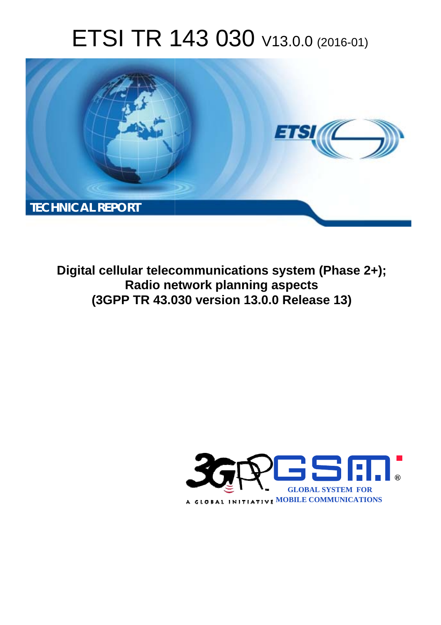# ETSI TR 143 030 V13.0.0 (2016-01)



**Digital cellular telecommunications system (Phase 2+); Radio ne network planning aspects (3GPP TR 43.0 .030 version 13.0.0 Release 13 13)** 

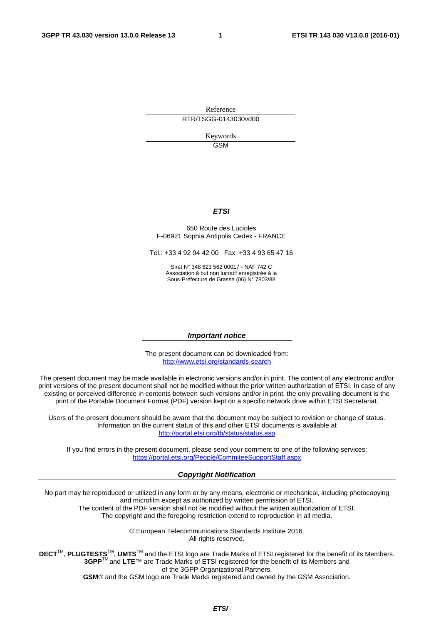Reference RTR/TSGG-0143030vd00

> Keywords **GSM**

#### *ETSI*

#### 650 Route des Lucioles F-06921 Sophia Antipolis Cedex - FRANCE

Tel.: +33 4 92 94 42 00 Fax: +33 4 93 65 47 16

Siret N° 348 623 562 00017 - NAF 742 C Association à but non lucratif enregistrée à la Sous-Préfecture de Grasse (06) N° 7803/88

#### *Important notice*

The present document can be downloaded from: <http://www.etsi.org/standards-search>

The present document may be made available in electronic versions and/or in print. The content of any electronic and/or print versions of the present document shall not be modified without the prior written authorization of ETSI. In case of any existing or perceived difference in contents between such versions and/or in print, the only prevailing document is the print of the Portable Document Format (PDF) version kept on a specific network drive within ETSI Secretariat.

Users of the present document should be aware that the document may be subject to revision or change of status. Information on the current status of this and other ETSI documents is available at <http://portal.etsi.org/tb/status/status.asp>

If you find errors in the present document, please send your comment to one of the following services: <https://portal.etsi.org/People/CommiteeSupportStaff.aspx>

#### *Copyright Notification*

No part may be reproduced or utilized in any form or by any means, electronic or mechanical, including photocopying and microfilm except as authorized by written permission of ETSI.

The content of the PDF version shall not be modified without the written authorization of ETSI. The copyright and the foregoing restriction extend to reproduction in all media.

> © European Telecommunications Standards Institute 2016. All rights reserved.

**DECT**TM, **PLUGTESTS**TM, **UMTS**TM and the ETSI logo are Trade Marks of ETSI registered for the benefit of its Members. **3GPP**TM and **LTE**™ are Trade Marks of ETSI registered for the benefit of its Members and of the 3GPP Organizational Partners.

**GSM**® and the GSM logo are Trade Marks registered and owned by the GSM Association.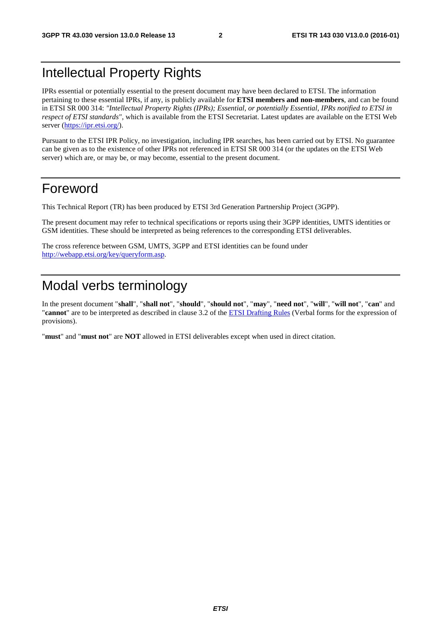### Intellectual Property Rights

IPRs essential or potentially essential to the present document may have been declared to ETSI. The information pertaining to these essential IPRs, if any, is publicly available for **ETSI members and non-members**, and can be found in ETSI SR 000 314: *"Intellectual Property Rights (IPRs); Essential, or potentially Essential, IPRs notified to ETSI in respect of ETSI standards"*, which is available from the ETSI Secretariat. Latest updates are available on the ETSI Web server [\(https://ipr.etsi.org/](https://ipr.etsi.org/)).

Pursuant to the ETSI IPR Policy, no investigation, including IPR searches, has been carried out by ETSI. No guarantee can be given as to the existence of other IPRs not referenced in ETSI SR 000 314 (or the updates on the ETSI Web server) which are, or may be, or may become, essential to the present document.

### Foreword

This Technical Report (TR) has been produced by ETSI 3rd Generation Partnership Project (3GPP).

The present document may refer to technical specifications or reports using their 3GPP identities, UMTS identities or GSM identities. These should be interpreted as being references to the corresponding ETSI deliverables.

The cross reference between GSM, UMTS, 3GPP and ETSI identities can be found under [http://webapp.etsi.org/key/queryform.asp.](http://webapp.etsi.org/key/queryform.asp)

### Modal verbs terminology

In the present document "**shall**", "**shall not**", "**should**", "**should not**", "**may**", "**need not**", "**will**", "**will not**", "**can**" and "**cannot**" are to be interpreted as described in clause 3.2 of the [ETSI Drafting Rules](http://portal.etsi.org/Help/editHelp!/Howtostart/ETSIDraftingRules.aspx) (Verbal forms for the expression of provisions).

"**must**" and "**must not**" are **NOT** allowed in ETSI deliverables except when used in direct citation.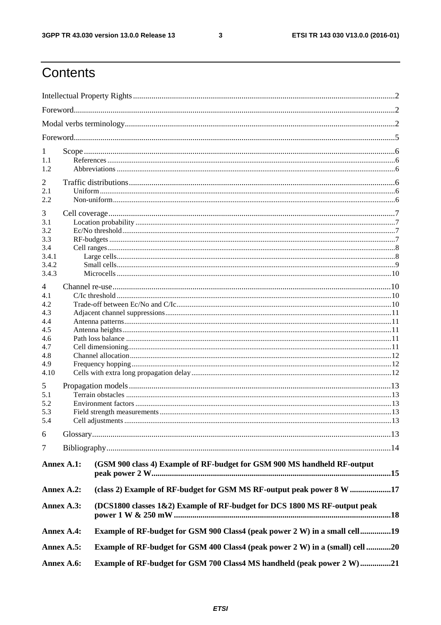$\mathbf{3}$ 

## Contents

| 1                                                                                      |  |                                                                               |  |  |  |
|----------------------------------------------------------------------------------------|--|-------------------------------------------------------------------------------|--|--|--|
| 1.1                                                                                    |  |                                                                               |  |  |  |
| 1.2                                                                                    |  |                                                                               |  |  |  |
| 2                                                                                      |  |                                                                               |  |  |  |
| 2.1                                                                                    |  |                                                                               |  |  |  |
| 2.2                                                                                    |  |                                                                               |  |  |  |
| 3                                                                                      |  |                                                                               |  |  |  |
| 3.1                                                                                    |  |                                                                               |  |  |  |
| 3.2                                                                                    |  |                                                                               |  |  |  |
| 3.3                                                                                    |  |                                                                               |  |  |  |
| 3.4<br>3.4.1                                                                           |  |                                                                               |  |  |  |
| 3.4.2                                                                                  |  |                                                                               |  |  |  |
| 3.4.3                                                                                  |  |                                                                               |  |  |  |
| 4                                                                                      |  |                                                                               |  |  |  |
| 4.1                                                                                    |  |                                                                               |  |  |  |
| 4.2                                                                                    |  |                                                                               |  |  |  |
| 4.3                                                                                    |  |                                                                               |  |  |  |
| 4.4                                                                                    |  |                                                                               |  |  |  |
| 4.5                                                                                    |  |                                                                               |  |  |  |
| 4.6<br>4.7                                                                             |  |                                                                               |  |  |  |
| 4.8                                                                                    |  |                                                                               |  |  |  |
| 4.9                                                                                    |  |                                                                               |  |  |  |
| 4.10                                                                                   |  |                                                                               |  |  |  |
| 5                                                                                      |  |                                                                               |  |  |  |
| 5.1                                                                                    |  |                                                                               |  |  |  |
| 5.2                                                                                    |  |                                                                               |  |  |  |
| 5.3                                                                                    |  |                                                                               |  |  |  |
| 5.4                                                                                    |  | Cell adjustments                                                              |  |  |  |
| 6                                                                                      |  |                                                                               |  |  |  |
| 7                                                                                      |  |                                                                               |  |  |  |
| Annex A.1:<br>(GSM 900 class 4) Example of RF-budget for GSM 900 MS handheld RF-output |  |                                                                               |  |  |  |
| Annex A.2:                                                                             |  | (class 2) Example of RF-budget for GSM MS RF-output peak power 8 W 17         |  |  |  |
| Annex A.3:                                                                             |  | (DCS1800 classes 1&2) Example of RF-budget for DCS 1800 MS RF-output peak     |  |  |  |
| Annex A.4:                                                                             |  | Example of RF-budget for GSM 900 Class4 (peak power 2 W) in a small cell19    |  |  |  |
| Annex A.5:                                                                             |  | Example of RF-budget for GSM 400 Class4 (peak power 2 W) in a (small) cell 20 |  |  |  |
| Annex A.6:                                                                             |  | Example of RF-budget for GSM 700 Class4 MS handheld (peak power 2 W)21        |  |  |  |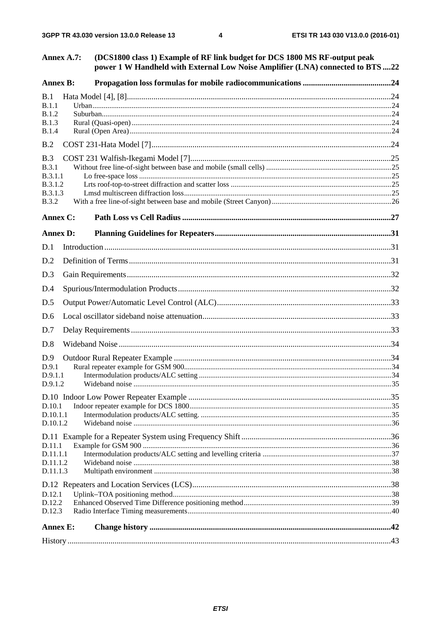| Annex A.7:                                                                  | (DCS1800 class 1) Example of RF link budget for DCS 1800 MS RF-output peak<br>power 1 W Handheld with External Low Noise Amplifier (LNA) connected to BTS 22 |  |
|-----------------------------------------------------------------------------|--------------------------------------------------------------------------------------------------------------------------------------------------------------|--|
| <b>Annex B:</b>                                                             |                                                                                                                                                              |  |
| B.1<br>B.1.1                                                                |                                                                                                                                                              |  |
| <b>B.1.2</b><br><b>B.1.3</b><br>B.1.4                                       |                                                                                                                                                              |  |
| B.2                                                                         |                                                                                                                                                              |  |
| B.3<br><b>B.3.1</b><br><b>B.3.1.1</b><br>B.3.1.2<br>B.3.1.3<br><b>B.3.2</b> |                                                                                                                                                              |  |
| <b>Annex C:</b>                                                             |                                                                                                                                                              |  |
| <b>Annex D:</b>                                                             |                                                                                                                                                              |  |
| D.1                                                                         |                                                                                                                                                              |  |
| D.2                                                                         |                                                                                                                                                              |  |
| D.3                                                                         |                                                                                                                                                              |  |
| D.4                                                                         |                                                                                                                                                              |  |
| D.5                                                                         |                                                                                                                                                              |  |
| D.6                                                                         |                                                                                                                                                              |  |
| D.7                                                                         |                                                                                                                                                              |  |
| D.8                                                                         |                                                                                                                                                              |  |
| D.9                                                                         |                                                                                                                                                              |  |
| D.9.1                                                                       |                                                                                                                                                              |  |
| D.9.1.1<br>D.9.1.2                                                          |                                                                                                                                                              |  |
|                                                                             |                                                                                                                                                              |  |
| D.10.1                                                                      |                                                                                                                                                              |  |
| D.10.1.1<br>D.10.1.2                                                        |                                                                                                                                                              |  |
|                                                                             |                                                                                                                                                              |  |
| D.11.1                                                                      |                                                                                                                                                              |  |
| D.11.1.1                                                                    |                                                                                                                                                              |  |
| D.11.1.2<br>D.11.1.3                                                        |                                                                                                                                                              |  |
|                                                                             |                                                                                                                                                              |  |
| D.12.1                                                                      |                                                                                                                                                              |  |
| D.12.2<br>D.12.3                                                            |                                                                                                                                                              |  |
|                                                                             |                                                                                                                                                              |  |
| <b>Annex E:</b>                                                             |                                                                                                                                                              |  |
|                                                                             |                                                                                                                                                              |  |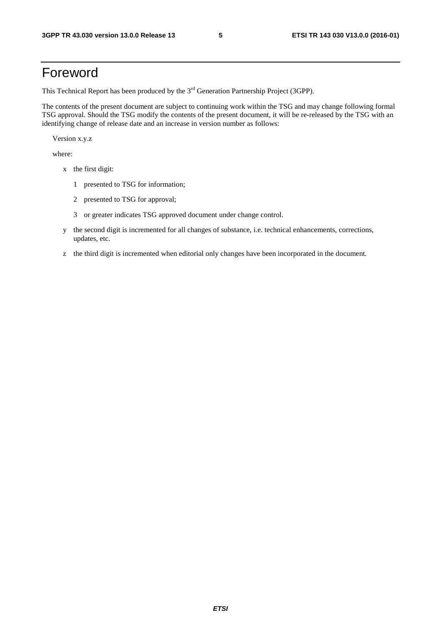### Foreword

This Technical Report has been produced by the  $3<sup>rd</sup>$  Generation Partnership Project (3GPP).

The contents of the present document are subject to continuing work within the TSG and may change following formal TSG approval. Should the TSG modify the contents of the present document, it will be re-released by the TSG with an identifying change of release date and an increase in version number as follows:

Version x.y.z

where:

- x the first digit:
	- 1 presented to TSG for information;
	- 2 presented to TSG for approval;
	- 3 or greater indicates TSG approved document under change control.
- y the second digit is incremented for all changes of substance, i.e. technical enhancements, corrections, updates, etc.
- z the third digit is incremented when editorial only changes have been incorporated in the document.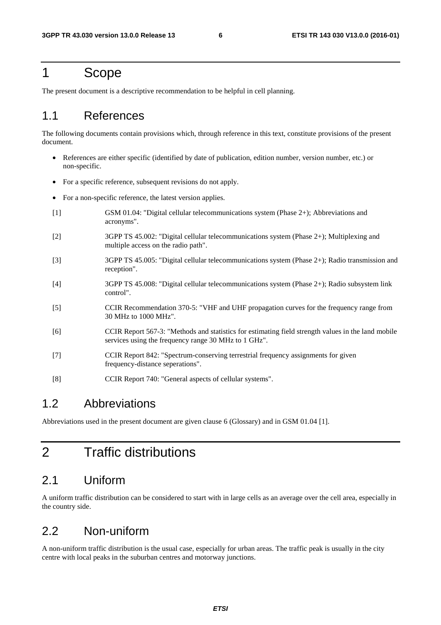### 1 Scope

The present document is a descriptive recommendation to be helpful in cell planning.

#### 1.1 References

The following documents contain provisions which, through reference in this text, constitute provisions of the present document.

- References are either specific (identified by date of publication, edition number, version number, etc.) or non-specific.
- For a specific reference, subsequent revisions do not apply.
- For a non-specific reference, the latest version applies.
- [1] GSM 01.04: "Digital cellular telecommunications system (Phase 2+); Abbreviations and acronyms".
- [2] 3GPP TS 45.002: "Digital cellular telecommunications system (Phase 2+); Multiplexing and multiple access on the radio path".
- [3] 3GPP TS 45.005: "Digital cellular telecommunications system (Phase 2+); Radio transmission and reception".
- [4] 3GPP TS 45.008: "Digital cellular telecommunications system (Phase 2+); Radio subsystem link control".
- [5] CCIR Recommendation 370-5: "VHF and UHF propagation curves for the frequency range from 30 MHz to 1000 MHz".
- [6] CCIR Report 567-3: "Methods and statistics for estimating field strength values in the land mobile services using the frequency range 30 MHz to 1 GHz".
- [7] CCIR Report 842: "Spectrum-conserving terrestrial frequency assignments for given frequency-distance seperations".
- [8] CCIR Report 740: "General aspects of cellular systems".

#### 1.2 Abbreviations

Abbreviations used in the present document are given clause 6 (Glossary) and in GSM 01.04 [1].

## 2 Traffic distributions

#### 2.1 Uniform

A uniform traffic distribution can be considered to start with in large cells as an average over the cell area, especially in the country side.

#### 2.2 Non-uniform

A non-uniform traffic distribution is the usual case, especially for urban areas. The traffic peak is usually in the city centre with local peaks in the suburban centres and motorway junctions.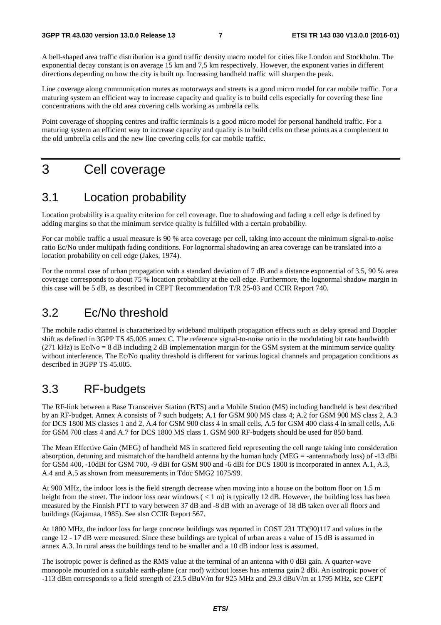A bell-shaped area traffic distribution is a good traffic density macro model for cities like London and Stockholm. The exponential decay constant is on average 15 km and 7,5 km respectively. However, the exponent varies in different directions depending on how the city is built up. Increasing handheld traffic will sharpen the peak.

Line coverage along communication routes as motorways and streets is a good micro model for car mobile traffic. For a maturing system an efficient way to increase capacity and quality is to build cells especially for covering these line concentrations with the old area covering cells working as umbrella cells.

Point coverage of shopping centres and traffic terminals is a good micro model for personal handheld traffic. For a maturing system an efficient way to increase capacity and quality is to build cells on these points as a complement to the old umbrella cells and the new line covering cells for car mobile traffic.

## 3 Cell coverage

#### 3.1 Location probability

Location probability is a quality criterion for cell coverage. Due to shadowing and fading a cell edge is defined by adding margins so that the minimum service quality is fulfilled with a certain probability.

For car mobile traffic a usual measure is 90 % area coverage per cell, taking into account the minimum signal-to-noise ratio Ec/No under multipath fading conditions. For lognormal shadowing an area coverage can be translated into a location probability on cell edge (Jakes, 1974).

For the normal case of urban propagation with a standard deviation of 7 dB and a distance exponential of 3.5, 90 % area coverage corresponds to about 75 % location probability at the cell edge. Furthermore, the lognormal shadow margin in this case will be 5 dB, as described in CEPT Recommendation T/R 25-03 and CCIR Report 740.

#### 3.2 Ec/No threshold

The mobile radio channel is characterized by wideband multipath propagation effects such as delay spread and Doppler shift as defined in 3GPP TS 45.005 annex C. The reference signal-to-noise ratio in the modulating bit rate bandwidth  $(271 \text{ kHz})$  is Ec/No = 8 dB including 2 dB implementation margin for the GSM system at the minimum service quality without interference. The Ec/No quality threshold is different for various logical channels and propagation conditions as described in 3GPP TS 45.005.

### 3.3 RF-budgets

The RF-link between a Base Transceiver Station (BTS) and a Mobile Station (MS) including handheld is best described by an RF-budget. Annex A consists of 7 such budgets; A.1 for GSM 900 MS class 4; A.2 for GSM 900 MS class 2, A.3 for DCS 1800 MS classes 1 and 2, A.4 for GSM 900 class 4 in small cells, A.5 for GSM 400 class 4 in small cells, A.6 for GSM 700 class 4 and A.7 for DCS 1800 MS class 1. GSM 900 RF-budgets should be used for 850 band.

The Mean Effective Gain (MEG) of handheld MS in scattered field representing the cell range taking into consideration absorption, detuning and mismatch of the handheld antenna by the human body (MEG = -antenna/body loss) of -13 dBi for GSM 400, -10dBi for GSM 700, -9 dBi for GSM 900 and -6 dBi for DCS 1800 is incorporated in annex A.1, A.3, A.4 and A.5 as shown from measurements in Tdoc SMG2 1075/99.

At 900 MHz, the indoor loss is the field strength decrease when moving into a house on the bottom floor on 1.5 m height from the street. The indoor loss near windows  $(< 1 \text{ m})$  is typically 12 dB. However, the building loss has been measured by the Finnish PTT to vary between 37 dB and -8 dB with an average of 18 dB taken over all floors and buildings (Kajamaa, 1985). See also CCIR Report 567.

At 1800 MHz, the indoor loss for large concrete buildings was reported in COST 231 TD(90)117 and values in the range 12 - 17 dB were measured. Since these buildings are typical of urban areas a value of 15 dB is assumed in annex A.3. In rural areas the buildings tend to be smaller and a 10 dB indoor loss is assumed.

The isotropic power is defined as the RMS value at the terminal of an antenna with 0 dBi gain. A quarter-wave monopole mounted on a suitable earth-plane (car roof) without losses has antenna gain 2 dBi. An isotropic power of -113 dBm corresponds to a field strength of 23.5 dBuV/m for 925 MHz and 29.3 dBuV/m at 1795 MHz, see CEPT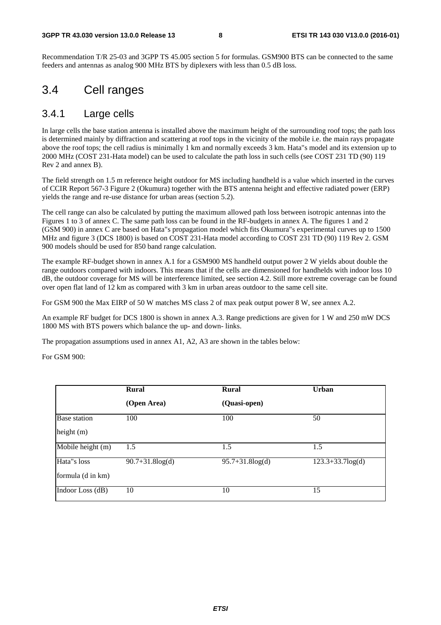Recommendation T/R 25-03 and 3GPP TS 45.005 section 5 for formulas. GSM900 BTS can be connected to the same feeders and antennas as analog 900 MHz BTS by diplexers with less than 0.5 dB loss.

#### 3.4 Cell ranges

#### 3.4.1 Large cells

In large cells the base station antenna is installed above the maximum height of the surrounding roof tops; the path loss is determined mainly by diffraction and scattering at roof tops in the vicinity of the mobile i.e. the main rays propagate above the roof tops; the cell radius is minimally 1 km and normally exceeds 3 km. Hata"s model and its extension up to 2000 MHz (COST 231-Hata model) can be used to calculate the path loss in such cells (see COST 231 TD (90) 119 Rev 2 and annex B).

The field strength on 1.5 m reference height outdoor for MS including handheld is a value which inserted in the curves of CCIR Report 567-3 Figure 2 (Okumura) together with the BTS antenna height and effective radiated power (ERP) yields the range and re-use distance for urban areas (section 5.2).

The cell range can also be calculated by putting the maximum allowed path loss between isotropic antennas into the Figures 1 to 3 of annex C. The same path loss can be found in the RF-budgets in annex A. The figures 1 and 2 (GSM 900) in annex C are based on Hata"s propagation model which fits Okumura"s experimental curves up to 1500 MHz and figure 3 (DCS 1800) is based on COST 231-Hata model according to COST 231 TD (90) 119 Rev 2. GSM 900 models should be used for 850 band range calculation.

The example RF-budget shown in annex A.1 for a GSM900 MS handheld output power 2 W yields about double the range outdoors compared with indoors. This means that if the cells are dimensioned for handhelds with indoor loss 10 dB, the outdoor coverage for MS will be interference limited, see section 4.2. Still more extreme coverage can be found over open flat land of 12 km as compared with 3 km in urban areas outdoor to the same cell site.

For GSM 900 the Max EIRP of 50 W matches MS class 2 of max peak output power 8 W, see annex A.2.

An example RF budget for DCS 1800 is shown in annex A.3. Range predictions are given for 1 W and 250 mW DCS 1800 MS with BTS powers which balance the up- and down- links.

The propagation assumptions used in annex A1, A2, A3 are shown in the tables below:

For GSM 900:

|                     | <b>Rural</b>          | Rural                 | <b>Urban</b>       |
|---------------------|-----------------------|-----------------------|--------------------|
|                     | (Open Area)           | (Quasi-open)          |                    |
| <b>Base</b> station | 100                   | 100                   | 50                 |
| height $(m)$        |                       |                       |                    |
| Mobile height (m)   | 1.5                   | 1.5                   | 1.5                |
| Hata"s loss         | $90.7 + 31.8 \log(d)$ | $95.7 + 31.8 \log(d)$ | $123.3+33.7log(d)$ |
| formula (d in km)   |                       |                       |                    |
| Indoor Loss (dB)    | 10                    | 10                    | 15                 |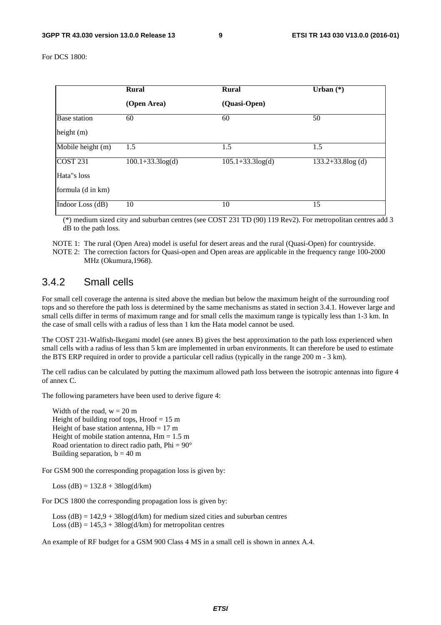For DCS 1800:

|                     | <b>Rural</b>           | <b>Rural</b>           | Urban $(*)$                     |
|---------------------|------------------------|------------------------|---------------------------------|
|                     | (Open Area)            | (Quasi-Open)           |                                 |
| <b>Base</b> station | 60                     | 60                     | 50                              |
| height $(m)$        |                        |                        |                                 |
| Mobile height (m)   | 1.5                    | 1.5                    | 1.5                             |
| <b>COST 231</b>     | $100.1 + 33.3 \log(d)$ | $105.1 + 33.3 \log(d)$ | $\overline{133.2}+33.8\log$ (d) |
| Hata"s loss         |                        |                        |                                 |
| formula (d in km)   |                        |                        |                                 |
| Indoor Loss (dB)    | 10                     | 10                     | 15                              |

 (\*) medium sized city and suburban centres (see COST 231 TD (90) 119 Rev2). For metropolitan centres add 3 dB to the path loss.

NOTE 1: The rural (Open Area) model is useful for desert areas and the rural (Quasi-Open) for countryside. NOTE 2: The correction factors for Quasi-open and Open areas are applicable in the frequency range 100-2000 MHz (Okumura,1968).

#### 3.4.2 Small cells

For small cell coverage the antenna is sited above the median but below the maximum height of the surrounding roof tops and so therefore the path loss is determined by the same mechanisms as stated in section 3.4.1. However large and small cells differ in terms of maximum range and for small cells the maximum range is typically less than 1-3 km. In the case of small cells with a radius of less than 1 km the Hata model cannot be used.

The COST 231-Walfish-Ikegami model (see annex B) gives the best approximation to the path loss experienced when small cells with a radius of less than 5 km are implemented in urban environments. It can therefore be used to estimate the BTS ERP required in order to provide a particular cell radius (typically in the range 200 m - 3 km).

The cell radius can be calculated by putting the maximum allowed path loss between the isotropic antennas into figure 4 of annex C.

The following parameters have been used to derive figure 4:

Width of the road,  $w = 20$  m Height of building roof tops, Hroof  $= 15$  m Height of base station antenna,  $Hb = 17$  m Height of mobile station antenna,  $Hm = 1.5$  m Road orientation to direct radio path,  $Phi = 90^\circ$ Building separation,  $b = 40$  m

For GSM 900 the corresponding propagation loss is given by:

Loss (dB) =  $132.8 + 38\log(d/km)$ 

For DCS 1800 the corresponding propagation loss is given by:

Loss  $(dB) = 142.9 + 38\log(d/km)$  for medium sized cities and suburban centres Loss  $(dB) = 145.3 + 38\log(d/km)$  for metropolitan centres

An example of RF budget for a GSM 900 Class 4 MS in a small cell is shown in annex A.4.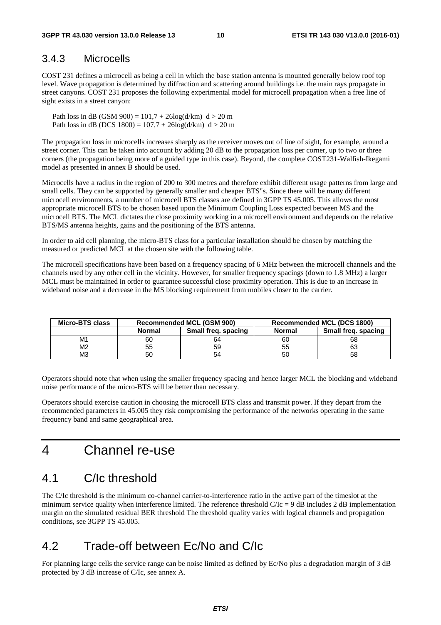#### 3.4.3 Microcells

COST 231 defines a microcell as being a cell in which the base station antenna is mounted generally below roof top level. Wave propagation is determined by diffraction and scattering around buildings i.e. the main rays propagate in street canyons. COST 231 proposes the following experimental model for microcell propagation when a free line of sight exists in a street canyon:

Path loss in dB (GSM 900) =  $101,7 + 26\log(d/km)$  d > 20 m Path loss in dB (DCS 1800) =  $107.7 + 26\log(d/km)$  d > 20 m

The propagation loss in microcells increases sharply as the receiver moves out of line of sight, for example, around a street corner. This can be taken into account by adding 20 dB to the propagation loss per corner, up to two or three corners (the propagation being more of a guided type in this case). Beyond, the complete COST231-Walfish-Ikegami model as presented in annex B should be used.

Microcells have a radius in the region of 200 to 300 metres and therefore exhibit different usage patterns from large and small cells. They can be supported by generally smaller and cheaper BTS"s. Since there will be many different microcell environments, a number of microcell BTS classes are defined in 3GPP TS 45.005. This allows the most appropriate microcell BTS to be chosen based upon the Minimum Coupling Loss expected between MS and the microcell BTS. The MCL dictates the close proximity working in a microcell environment and depends on the relative BTS/MS antenna heights, gains and the positioning of the BTS antenna.

In order to aid cell planning, the micro-BTS class for a particular installation should be chosen by matching the measured or predicted MCL at the chosen site with the following table.

The microcell specifications have been based on a frequency spacing of 6 MHz between the microcell channels and the channels used by any other cell in the vicinity. However, for smaller frequency spacings (down to 1.8 MHz) a larger MCL must be maintained in order to guarantee successful close proximity operation. This is due to an increase in wideband noise and a decrease in the MS blocking requirement from mobiles closer to the carrier.

| <b>Recommended MCL (GSM 900)</b><br>Micro-BTS class |               |                     |               | Recommended MCL (DCS 1800) |
|-----------------------------------------------------|---------------|---------------------|---------------|----------------------------|
|                                                     | <b>Normal</b> | Small freq. spacing | <b>Normal</b> | Small freg. spacing        |
| M1                                                  | 60            | 64                  | 60            | 68                         |
| M2                                                  | 55            | 59                  | 55            | 63                         |
| ΜЗ                                                  | 50            | 54                  | 50            | 58                         |

Operators should note that when using the smaller frequency spacing and hence larger MCL the blocking and wideband noise performance of the micro-BTS will be better than necessary.

Operators should exercise caution in choosing the microcell BTS class and transmit power. If they depart from the recommended parameters in 45.005 they risk compromising the performance of the networks operating in the same frequency band and same geographical area.

### 4 Channel re-use

### 4.1 C/Ic threshold

The C/Ic threshold is the minimum co-channel carrier-to-interference ratio in the active part of the timeslot at the minimum service quality when interference limited. The reference threshold  $C/C = 9$  dB includes 2 dB implementation margin on the simulated residual BER threshold The threshold quality varies with logical channels and propagation conditions, see 3GPP TS 45.005.

### 4.2 Trade-off between Ec/No and C/Ic

For planning large cells the service range can be noise limited as defined by Ec/No plus a degradation margin of 3 dB protected by 3 dB increase of C/Ic, see annex A.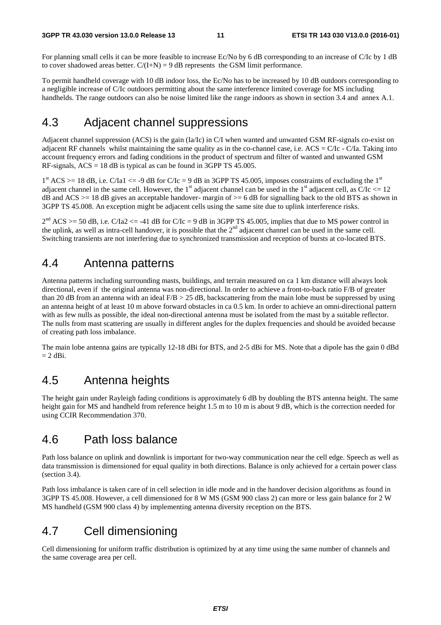For planning small cells it can be more feasible to increase Ec/No by 6 dB corresponding to an increase of C/Ic by 1 dB to cover shadowed areas better.  $C/(I+N) = 9$  dB represents the GSM limit performance.

To permit handheld coverage with 10 dB indoor loss, the Ec/No has to be increased by 10 dB outdoors corresponding to a negligible increase of C/Ic outdoors permitting about the same interference limited coverage for MS including handhelds. The range outdoors can also be noise limited like the range indoors as shown in section 3.4 and annex A.1.

### 4.3 Adjacent channel suppressions

Adjacent channel suppression (ACS) is the gain (Ia/Ic) in C/I when wanted and unwanted GSM RF-signals co-exist on adjacent RF channels whilst maintaining the same quality as in the co-channel case, i.e.  $\angle ACS = C/C - C/Ia$ . Taking into account frequency errors and fading conditions in the product of spectrum and filter of wanted and unwanted GSM RF-signals, ACS = 18 dB is typical as can be found in 3GPP TS 45.005.

 $1<sup>st</sup> ACS > = 18$  dB, i.e. C/Ia1  $\leq$  -9 dB for C/Ic = 9 dB in 3GPP TS 45.005, imposes constraints of excluding the  $1<sup>st</sup>$ adjacent channel in the same cell. However, the 1st adjacent channel can be used in the 1st adjacent cell, as  $C/C \le 12$ dB and ACS  $>= 18$  dB gives an acceptable handover- margin of  $>= 6$  dB for signalling back to the old BTS as shown in 3GPP TS 45.008. An exception might be adjacent cells using the same site due to uplink interference risks.

 $2<sup>nd</sup> ACS$  >= 50 dB, i.e. C/Ia2 <= -41 dB for C/Ic = 9 dB in 3GPP TS 45.005, implies that due to MS power control in the uplink, as well as intra-cell handover, it is possible that the  $2<sup>nd</sup>$  adjacent channel can be used in the same cell. Switching transients are not interfering due to synchronized transmission and reception of bursts at co-located BTS.

#### 4.4 Antenna patterns

Antenna patterns including surrounding masts, buildings, and terrain measured on ca 1 km distance will always look directional, even if the original antenna was non-directional. In order to achieve a front-to-back ratio F/B of greater than 20 dB from an antenna with an ideal  $F/B > 25$  dB, backscattering from the main lobe must be suppressed by using an antenna height of at least 10 m above forward obstacles in ca 0.5 km. In order to achieve an omni-directional pattern with as few nulls as possible, the ideal non-directional antenna must be isolated from the mast by a suitable reflector. The nulls from mast scattering are usually in different angles for the duplex frequencies and should be avoided because of creating path loss imbalance.

The main lobe antenna gains are typically 12-18 dBi for BTS, and 2-5 dBi for MS. Note that a dipole has the gain 0 dBd  $= 2$  dBi.

### 4.5 Antenna heights

The height gain under Rayleigh fading conditions is approximately 6 dB by doubling the BTS antenna height. The same height gain for MS and handheld from reference height 1.5 m to 10 m is about 9 dB, which is the correction needed for using CCIR Recommendation 370.

#### 4.6 Path loss balance

Path loss balance on uplink and downlink is important for two-way communication near the cell edge. Speech as well as data transmission is dimensioned for equal quality in both directions. Balance is only achieved for a certain power class (section 3.4).

Path loss imbalance is taken care of in cell selection in idle mode and in the handover decision algorithms as found in 3GPP TS 45.008. However, a cell dimensioned for 8 W MS (GSM 900 class 2) can more or less gain balance for 2 W MS handheld (GSM 900 class 4) by implementing antenna diversity reception on the BTS.

### 4.7 Cell dimensioning

Cell dimensioning for uniform traffic distribution is optimized by at any time using the same number of channels and the same coverage area per cell.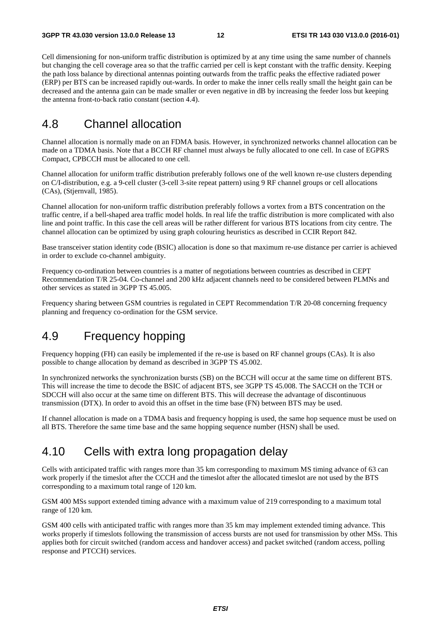Cell dimensioning for non-uniform traffic distribution is optimized by at any time using the same number of channels but changing the cell coverage area so that the traffic carried per cell is kept constant with the traffic density. Keeping the path loss balance by directional antennas pointing outwards from the traffic peaks the effective radiated power (ERP) per BTS can be increased rapidly out-wards. In order to make the inner cells really small the height gain can be decreased and the antenna gain can be made smaller or even negative in dB by increasing the feeder loss but keeping the antenna front-to-back ratio constant (section 4.4).

### 4.8 Channel allocation

Channel allocation is normally made on an FDMA basis. However, in synchronized networks channel allocation can be made on a TDMA basis. Note that a BCCH RF channel must always be fully allocated to one cell. In case of EGPRS Compact, CPBCCH must be allocated to one cell.

Channel allocation for uniform traffic distribution preferably follows one of the well known re-use clusters depending on C/I-distribution, e.g. a 9-cell cluster (3-cell 3-site repeat pattern) using 9 RF channel groups or cell allocations (CAs), (Stjernvall, 1985).

Channel allocation for non-uniform traffic distribution preferably follows a vortex from a BTS concentration on the traffic centre, if a bell-shaped area traffic model holds. In real life the traffic distribution is more complicated with also line and point traffic. In this case the cell areas will be rather different for various BTS locations from city centre. The channel allocation can be optimized by using graph colouring heuristics as described in CCIR Report 842.

Base transceiver station identity code (BSIC) allocation is done so that maximum re-use distance per carrier is achieved in order to exclude co-channel ambiguity.

Frequency co-ordination between countries is a matter of negotiations between countries as described in CEPT Recommendation T/R 25-04. Co-channel and 200 kHz adjacent channels need to be considered between PLMNs and other services as stated in 3GPP TS 45.005.

Frequency sharing between GSM countries is regulated in CEPT Recommendation T/R 20-08 concerning frequency planning and frequency co-ordination for the GSM service.

### 4.9 Frequency hopping

Frequency hopping (FH) can easily be implemented if the re-use is based on RF channel groups (CAs). It is also possible to change allocation by demand as described in 3GPP TS 45.002.

In synchronized networks the synchronization bursts (SB) on the BCCH will occur at the same time on different BTS. This will increase the time to decode the BSIC of adjacent BTS, see 3GPP TS 45.008. The SACCH on the TCH or SDCCH will also occur at the same time on different BTS. This will decrease the advantage of discontinuous transmission (DTX). In order to avoid this an offset in the time base (FN) between BTS may be used.

If channel allocation is made on a TDMA basis and frequency hopping is used, the same hop sequence must be used on all BTS. Therefore the same time base and the same hopping sequence number (HSN) shall be used.

### 4.10 Cells with extra long propagation delay

Cells with anticipated traffic with ranges more than 35 km corresponding to maximum MS timing advance of 63 can work properly if the timeslot after the CCCH and the timeslot after the allocated timeslot are not used by the BTS corresponding to a maximum total range of 120 km.

GSM 400 MSs support extended timing advance with a maximum value of 219 corresponding to a maximum total range of 120 km.

GSM 400 cells with anticipated traffic with ranges more than 35 km may implement extended timing advance. This works properly if timeslots following the transmission of access bursts are not used for transmission by other MSs. This applies both for circuit switched (random access and handover access) and packet switched (random access, polling response and PTCCH) services.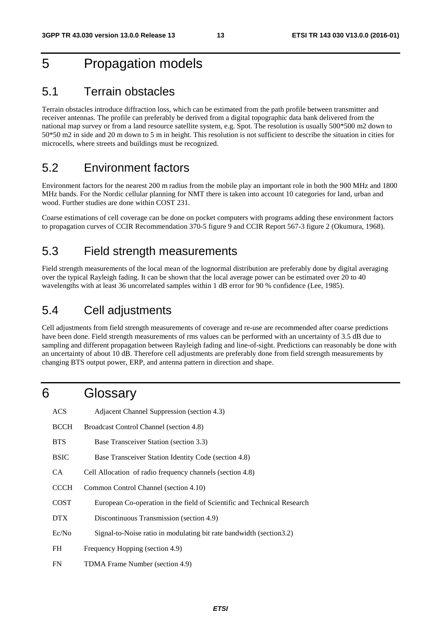### 5 Propagation models

### 5.1 Terrain obstacles

Terrain obstacles introduce diffraction loss, which can be estimated from the path profile between transmitter and receiver antennas. The profile can preferably be derived from a digital topographic data bank delivered from the national map survey or from a land resource satellite system, e.g. Spot. The resolution is usually 500\*500 m2 down to 50\*50 m2 in side and 20 m down to 5 m in height. This resolution is not sufficient to describe the situation in cities for microcells, where streets and buildings must be recognized.

### 5.2 Environment factors

Environment factors for the nearest 200 m radius from the mobile play an important role in both the 900 MHz and 1800 MHz bands. For the Nordic cellular planning for NMT there is taken into account 10 categories for land, urban and wood. Further studies are done within COST 231.

Coarse estimations of cell coverage can be done on pocket computers with programs adding these environment factors to propagation curves of CCIR Recommendation 370-5 figure 9 and CCIR Report 567-3 figure 2 (Okumura, 1968).

### 5.3 Field strength measurements

Field strength measurements of the local mean of the lognormal distribution are preferably done by digital averaging over the typical Rayleigh fading. It can be shown that the local average power can be estimated over 20 to 40 wavelengths with at least 36 uncorrelated samples within 1 dB error for 90 % confidence (Lee, 1985).

### 5.4 Cell adjustments

Cell adjustments from field strength measurements of coverage and re-use are recommended after coarse predictions have been done. Field strength measurements of rms values can be performed with an uncertainty of 3.5 dB due to sampling and different propagation between Rayleigh fading and line-of-sight. Predictions can reasonably be done with an uncertainty of about 10 dB. Therefore cell adjustments are preferably done from field strength measurements by changing BTS output power, ERP, and antenna pattern in direction and shape.

### 6 Glossary

| <b>ACS</b>  | Adjacent Channel Suppression (section 4.3)                              |
|-------------|-------------------------------------------------------------------------|
| <b>BCCH</b> | Broadcast Control Channel (section 4.8)                                 |
| <b>BTS</b>  | Base Transceiver Station (section 3.3)                                  |
| <b>BSIC</b> | Base Transceiver Station Identity Code (section 4.8)                    |
| CA.         | Cell Allocation of radio frequency channels (section 4.8)               |
| <b>CCCH</b> | Common Control Channel (section 4.10)                                   |
| <b>COST</b> | European Co-operation in the field of Scientific and Technical Research |
| DTX.        | Discontinuous Transmission (section 4.9)                                |
| Ec/No       | Signal-to-Noise ratio in modulating bit rate bandwidth (section 3.2)    |
| FH          | Frequency Hopping (section 4.9)                                         |
| FN          | TDMA Frame Number (section 4.9)                                         |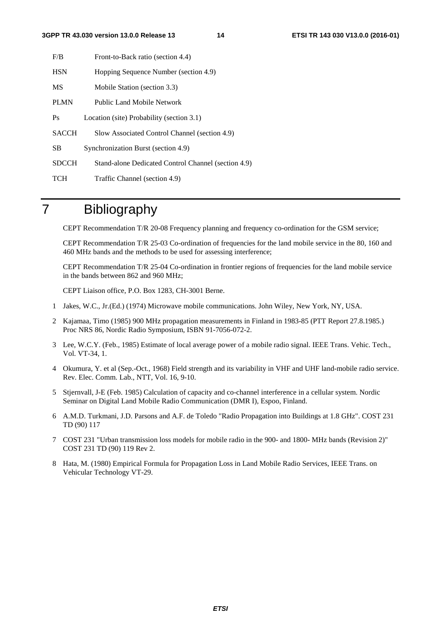#### **3GPP TR 43.030 version 13.0.0 Release 13 14 ETSI TR 143 030 V13.0.0 (2016-01)**

| F/B          | Front-to-Back ratio (section 4.4)                   |
|--------------|-----------------------------------------------------|
| <b>HSN</b>   | Hopping Sequence Number (section 4.9)               |
| <b>MS</b>    | Mobile Station (section 3.3)                        |
| <b>PLMN</b>  | Public Land Mobile Network                          |
| Ps           | Location (site) Probability (section 3.1)           |
| <b>SACCH</b> | Slow Associated Control Channel (section 4.9)       |
| <b>SB</b>    | Synchronization Burst (section 4.9)                 |
| <b>SDCCH</b> | Stand-alone Dedicated Control Channel (section 4.9) |
| TCH          | Traffic Channel (section 4.9)                       |

## 7 Bibliography

CEPT Recommendation T/R 20-08 Frequency planning and frequency co-ordination for the GSM service;

 CEPT Recommendation T/R 25-03 Co-ordination of frequencies for the land mobile service in the 80, 160 and 460 MHz bands and the methods to be used for assessing interference;

 CEPT Recommendation T/R 25-04 Co-ordination in frontier regions of frequencies for the land mobile service in the bands between 862 and 960 MHz;

CEPT Liaison office, P.O. Box 1283, CH-3001 Berne.

- 1 Jakes, W.C., Jr.(Ed.) (1974) Microwave mobile communications. John Wiley, New York, NY, USA.
- 2 Kajamaa, Timo (1985) 900 MHz propagation measurements in Finland in 1983-85 (PTT Report 27.8.1985.) Proc NRS 86, Nordic Radio Symposium, ISBN 91-7056-072-2.
- 3 Lee, W.C.Y. (Feb., 1985) Estimate of local average power of a mobile radio signal. IEEE Trans. Vehic. Tech., Vol. VT-34, 1.
- 4 Okumura, Y. et al (Sep.-Oct., 1968) Field strength and its variability in VHF and UHF land-mobile radio service. Rev. Elec. Comm. Lab., NTT, Vol. 16, 9-10.
- 5 Stjernvall, J-E (Feb. 1985) Calculation of capacity and co-channel interference in a cellular system. Nordic Seminar on Digital Land Mobile Radio Communication (DMR I), Espoo, Finland.
- 6 A.M.D. Turkmani, J.D. Parsons and A.F. de Toledo "Radio Propagation into Buildings at 1.8 GHz". COST 231 TD (90) 117
- 7 COST 231 "Urban transmission loss models for mobile radio in the 900- and 1800- MHz bands (Revision 2)" COST 231 TD (90) 119 Rev 2.
- 8 Hata, M. (1980) Empirical Formula for Propagation Loss in Land Mobile Radio Services, IEEE Trans. on Vehicular Technology VT-29.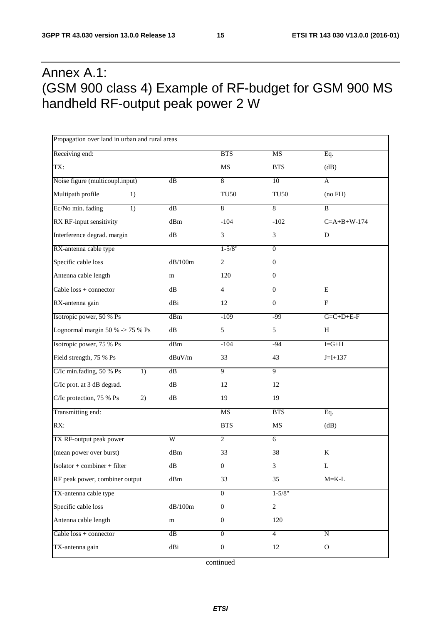## Annex A.1: (GSM 900 class 4) Example of RF-budget for GSM 900 MS handheld RF-output peak power 2 W

| Propagation over land in urban and rural areas |                             |                             |                  |                       |
|------------------------------------------------|-----------------------------|-----------------------------|------------------|-----------------------|
| Receiving end:                                 |                             | <b>BTS</b>                  | MS               | Eq.                   |
| TX:                                            |                             | MS                          | <b>BTS</b>       | (dB)                  |
| Noise figure (multicoupl.input)                | dB                          | 8                           | 10               | A                     |
| Multipath profile<br>1)                        |                             | <b>TU50</b>                 | <b>TU50</b>      | (no FH)               |
| Ec/No min. fading<br>1)                        | dB                          | 8                           | $\overline{8}$   | B                     |
| RX RF-input sensitivity                        | dBm                         | $-104$                      | $-102$           | $C = A + B + W - 174$ |
| Interference degrad. margin                    | dB                          | $\ensuremath{\mathfrak{Z}}$ | 3                | D                     |
| RX-antenna cable type                          |                             | $1 - 5/8"$                  | $\overline{0}$   |                       |
| Specific cable loss                            | dB/100m                     | $\sqrt{2}$                  | $\boldsymbol{0}$ |                       |
| Antenna cable length                           | m                           | 120                         | $\boldsymbol{0}$ |                       |
| Cable $loss + connector$                       | dB                          | $\overline{4}$              | $\overline{0}$   | E                     |
| RX-antenna gain                                | dBi                         | 12                          | $\boldsymbol{0}$ | $\mathbf{F}$          |
| Isotropic power, 50 % Ps                       | dBm                         | $-109$                      | $-99$            | $G = C + D + E - F$   |
| Lognormal margin 50 % -> 75 % Ps               | $\mathrm{dB}$               | $\sqrt{5}$                  | 5                | H                     |
| Isotropic power, 75 % Ps                       | dBm                         | $-104$                      | $-94$            | $I = G + H$           |
| Field strength, 75 % Ps                        | dBuV/m                      | 33                          | 43               | $J = I + 137$         |
| C/Ic min.fading, 50 % Ps<br>1)                 | dB                          | $\overline{9}$              | $\overline{9}$   |                       |
| C/Ic prot. at 3 dB degrad.                     | $\mathrm{dB}$               | 12                          | 12               |                       |
| C/Ic protection, 75 % Ps<br>2)                 | $\mathrm{dB}$               | 19                          | 19               |                       |
| Transmitting end:                              |                             | <b>MS</b>                   | <b>BTS</b>       | Eq.                   |
| RX:                                            |                             | <b>BTS</b>                  | MS               | (dB)                  |
| TX RF-output peak power                        | $\overline{W}$              | 2                           | $\overline{6}$   |                       |
| (mean power over burst)                        | dBm                         | 33                          | 38               | K                     |
| $Isolator + combiner + filter$                 | $\mathrm{dB}$               | $\boldsymbol{0}$            | 3                | L                     |
| RF peak power, combiner output                 | dBm                         | 33                          | 35               | $M = K-L$             |
| TX-antenna cable type                          |                             | $\overline{0}$              | $1 - 5/8"$       |                       |
| Specific cable loss                            | $\mathrm{dB}/100\mathrm{m}$ | $\boldsymbol{0}$            | $\overline{c}$   |                       |
| Antenna cable length                           | m                           | $\boldsymbol{0}$            | 120              |                       |
| Cable $loss + connector$                       | $\overline{dB}$             | $\boldsymbol{0}$            | $\overline{4}$   | ${\bf N}$             |
| TX-antenna gain                                | dBi                         | $\boldsymbol{0}$            | 12               | ${\bf O}$             |

continued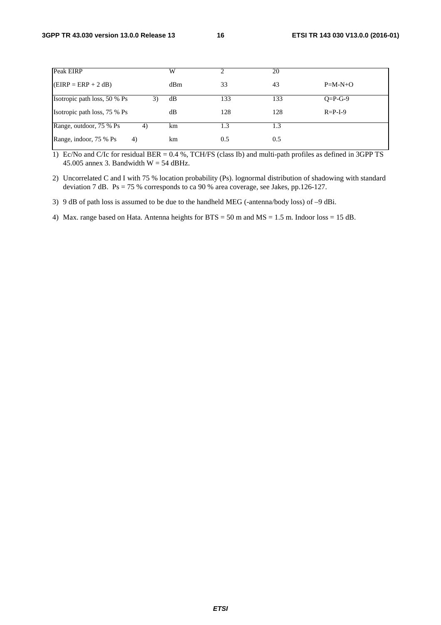| Peak EIRP                     | W   |     | 20  |                 |
|-------------------------------|-----|-----|-----|-----------------|
| $EIRP = ERP + 2 dB$           | dBm | 33  | 43  | $P=M-N+O$       |
| Isotropic path loss, 50 % Ps  | dB  | 133 | 133 | $Q = P - G - 9$ |
| Isotropic path loss, 75 % Ps  | dB  | 128 | 128 | $R = P - I - 9$ |
| Range, outdoor, 75 % Ps<br>4) | km  | 1.3 | 1.3 |                 |
| Range, indoor, 75 % Ps<br>4)  | km  | 0.5 | 0.5 |                 |

1) Ec/No and C/Ic for residual BER = 0.4 %, TCH/FS (class Ib) and multi-path profiles as defined in 3GPP TS 45.005 annex 3. Bandwidth  $W = 54$  dBHz.

2) Uncorrelated C and I with 75 % location probability (Ps). lognormal distribution of shadowing with standard deviation 7 dB. Ps = 75 % corresponds to ca 90 % area coverage, see Jakes, pp.126-127.

3) 9 dB of path loss is assumed to be due to the handheld MEG (-antenna/body loss) of –9 dBi.

4) Max. range based on Hata. Antenna heights for BTS = 50 m and MS = 1.5 m. Indoor loss = 15 dB.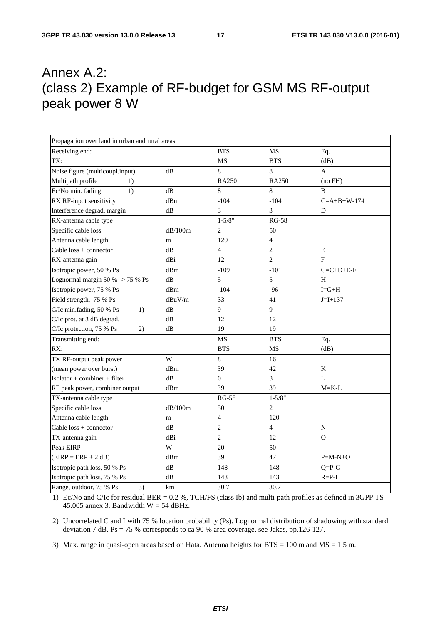## Annex A.2: (class 2) Example of RF-budget for GSM MS RF-output peak power 8 W

| Propagation over land in urban and rural areas |         |                         |                |                       |  |  |
|------------------------------------------------|---------|-------------------------|----------------|-----------------------|--|--|
| Receiving end:                                 |         | <b>BTS</b>              | <b>MS</b>      | Eq.                   |  |  |
| TX:                                            |         | MS                      | <b>BTS</b>     | (dB)                  |  |  |
| Noise figure (multicoupl.input)                | dB      | 8                       | 8              | A                     |  |  |
| Multipath profile<br>1)                        |         | <b>RA250</b>            | <b>RA250</b>   | (no FH)               |  |  |
| Ec/No min. fading<br>1)                        | dB      | 8                       | 8              | B                     |  |  |
| RX RF-input sensitivity                        | dBm     | $-104$                  | $-104$         | $C = A + B + W - 174$ |  |  |
| Interference degrad. margin                    | dB      | 3                       | 3              | D                     |  |  |
| RX-antenna cable type                          |         | $1 - 5/8"$              | <b>RG-58</b>   |                       |  |  |
| Specific cable loss                            | dB/100m | $\overline{c}$          | 50             |                       |  |  |
| Antenna cable length                           | m       | 120                     | $\overline{4}$ |                       |  |  |
| Cable $loss + connector$                       | dB      | $\overline{4}$          | $\overline{c}$ | $\mathbf E$           |  |  |
| RX-antenna gain                                | dBi     | 12                      | $\overline{2}$ | F                     |  |  |
| Isotropic power, 50 % Ps                       | dBm     | $-109$                  | $-101$         | $G = C + D + E - F$   |  |  |
| Lognormal margin 50 % -> 75 % Ps               | dB      | 5                       | 5              | H                     |  |  |
| Isotropic power, 75 % Ps                       | dBm     | $-104$                  | $-96$          | $I = G + H$           |  |  |
| Field strength, 75 % Ps                        | dBuV/m  | 33                      | 41             | $J = I + 137$         |  |  |
| C/Ic min.fading, 50 % Ps<br>1)                 | dB      | 9                       | 9              |                       |  |  |
| C/Ic prot. at 3 dB degrad.                     | dB      | 12                      | 12             |                       |  |  |
| C/Ic protection, 75 % Ps<br>2)                 | dB      | 19                      | 19             |                       |  |  |
| Transmitting end:                              |         | <b>MS</b>               | <b>BTS</b>     | Eq.                   |  |  |
| RX:                                            |         | <b>BTS</b>              | MS             | (dB)                  |  |  |
| TX RF-output peak power                        | W       | 8                       | 16             |                       |  |  |
| (mean power over burst)                        | dBm     | 39                      | 42             | $\rm K$               |  |  |
| Isolator + combiner + filter                   | dB      | $\overline{0}$          | 3              | $\mathbf L$           |  |  |
| RF peak power, combiner output                 | dBm     | 39                      | 39             | $M = K - L$           |  |  |
| TX-antenna cable type                          |         | <b>RG-58</b>            | $1 - 5/8"$     |                       |  |  |
| Specific cable loss                            | dB/100m | 50                      | $\overline{2}$ |                       |  |  |
| Antenna cable length                           | m       | $\overline{\mathbf{4}}$ | 120            |                       |  |  |
| $Cable loss + connector$                       | dB      | $\overline{c}$          | $\overline{4}$ | N                     |  |  |
| TX-antenna gain                                | dBi     | $\overline{c}$          | 12             | 0                     |  |  |
| Peak EIRP                                      | W       | 20                      | 50             |                       |  |  |
| $(EIRP = ERP + 2 dB)$                          | dBm     | 39                      | 47             | $P=M-N+O$             |  |  |
| Isotropic path loss, 50 % Ps                   | dB      | 148                     | 148            | $Q = P - G$           |  |  |
| Isotropic path loss, 75 % Ps                   | dB      | 143                     | 143            | $R = P-I$             |  |  |
| Range, outdoor, 75 % Ps<br>3)                  | km      | 30.7                    | 30.7           |                       |  |  |

1) Ec/No and C/Ic for residual BER = 0.2 %, TCH/FS (class Ib) and multi-path profiles as defined in 3GPP TS 45.005 annex 3. Bandwidth  $W = 54$  dBHz.

2) Uncorrelated C and I with 75 % location probability (Ps). Lognormal distribution of shadowing with standard deviation 7 dB. Ps = 75 % corresponds to ca 90 % area coverage, see Jakes, pp.126-127.

3) Max. range in quasi-open areas based on Hata. Antenna heights for BTS = 100 m and MS = 1.5 m.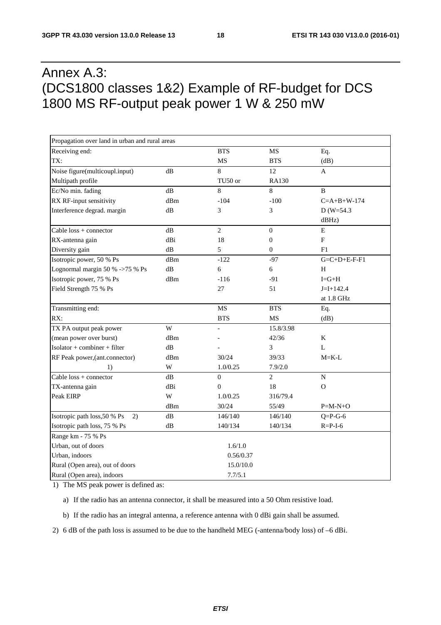## Annex A.3: (DCS1800 classes 1&2) Example of RF-budget for DCS 1800 MS RF-output peak power 1 W & 250 mW

| Propagation over land in urban and rural areas |               |                |                  |                       |
|------------------------------------------------|---------------|----------------|------------------|-----------------------|
| Receiving end:                                 |               | <b>BTS</b>     | MS               | Eq.                   |
| TX:                                            |               | <b>MS</b>      | <b>BTS</b>       | (dB)                  |
| Noise figure(multicoupl.input)                 | dB            | 8              | 12               | A                     |
| Multipath profile                              |               | TU50 or        | RA130            |                       |
| Ec/No min. fading                              | dB            | 8              | 8                | B                     |
| RX RF-input sensitivity                        | dBm           | $-104$         | $-100$           | $C = A + B + W - 174$ |
| Interference degrad. margin                    | dB            | 3              | 3                | $D(W=54.3)$           |
|                                                |               |                |                  | dBHz)                 |
| Cable $loss + connector$                       | dB            | $\overline{2}$ | $\boldsymbol{0}$ | ${\bf E}$             |
| RX-antenna gain                                | dBi           | 18             | $\boldsymbol{0}$ | ${\bf F}$             |
| Diversity gain                                 | dB            | 5              | $\mathbf{0}$     | F1                    |
| Isotropic power, 50 % Ps                       | dBm           | $-122$         | $-97$            | $G=C+D+E-F-F1$        |
| Lognormal margin 50 % ->75 % Ps                | dB            | 6              | 6                | H                     |
| Isotropic power, 75 % Ps                       | dBm           | $-116$         | $-91$            | $I = G + H$           |
| Field Strength 75 % Ps                         |               | 27             | 51               | $J=I+142.4$           |
|                                                |               |                |                  | at 1.8 GHz            |
| Transmitting end:                              |               | MS             | <b>BTS</b>       | Eq.                   |
| RX:                                            |               | <b>BTS</b>     | MS               | (dB)                  |
| TX PA output peak power                        | W             |                | 15.8/3.98        |                       |
| (mean power over burst)                        | dBm           |                | 42/36            | K                     |
| $Isolator + combiner + filter$                 | dB            |                | 3                | $\mathbf{L}$          |
| RF Peak power, (ant.connector)                 | dBm           | 30/24          | 39/33            | $M = K - L$           |
| 1)                                             | W             | 1.0/0.25       | 7.9/2.0          |                       |
| Cable $loss + connector$                       | dB            | $\overline{0}$ | $\overline{2}$   | ${\bf N}$             |
| TX-antenna gain                                | dBi           | $\overline{0}$ | 18               | $\Omega$              |
| Peak EIRP                                      | W             | 1.0/0.25       | 316/79.4         |                       |
|                                                | dBm           | 30/24          | 55/49            | $P=M-N+O$             |
| Isotropic path loss, 50 % Ps<br>2)             | dB            | 146/140        | 146/140          | $Q = P - G - 6$       |
| Isotropic path loss, 75 % Ps                   | $\mathrm{dB}$ | 140/134        | 140/134          | $R = P - I - 6$       |
| Range km - 75 % Ps                             |               |                |                  |                       |
| Urban, out of doors                            |               | 1.6/1.0        |                  |                       |
| Urban, indoors                                 |               | 0.56/0.37      |                  |                       |
| Rural (Open area), out of doors                |               | 15.0/10.0      |                  |                       |
| Rural (Open area), indoors                     |               | 7.7/5.1        |                  |                       |

1) The MS peak power is defined as:

a) If the radio has an antenna connector, it shall be measured into a 50 Ohm resistive load.

b) If the radio has an integral antenna, a reference antenna with 0 dBi gain shall be assumed.

2) 6 dB of the path loss is assumed to be due to the handheld MEG (-antenna/body loss) of –6 dBi.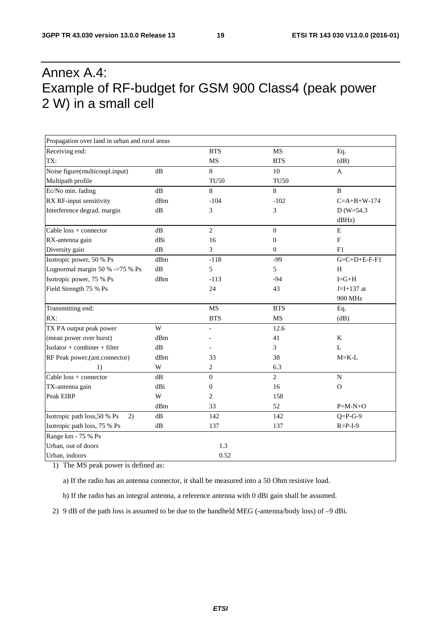## Annex A.4: Example of RF-budget for GSM 900 Class4 (peak power 2 W) in a small cell

| Propagation over land in urban and rural areas |               |                  |                  |                           |
|------------------------------------------------|---------------|------------------|------------------|---------------------------|
| Receiving end:                                 |               | <b>BTS</b>       | MS               | Eq.                       |
| TX:                                            |               | MS               | <b>BTS</b>       | (dB)                      |
| Noise figure(multicoupl.input)                 | dB            | $8\,$            | 10               | $\mathbf{A}$              |
| Multipath profile                              |               | <b>TU50</b>      | <b>TU50</b>      |                           |
| Ec/No min. fading                              | $\mathrm{dB}$ | 8                | $\,8\,$          | $\, {\bf B}$              |
| RX RF-input sensitivity                        | dBm           | $-104$           | $-102$           | $C=A+B+W-174$             |
| Interference degrad. margin                    | dB            | 3                | 3                | $D (W=54.3)$              |
|                                                |               |                  |                  | dBHz)                     |
| Cable $loss + connector$                       | dB            | $\overline{2}$   | $\boldsymbol{0}$ | E                         |
| RX-antenna gain                                | dBi           | 16               | $\boldsymbol{0}$ | $\boldsymbol{\mathrm{F}}$ |
| Diversity gain                                 | dB            | 3                | $\mathbf{0}$     | F1                        |
| Isotropic power, 50 % Ps                       | dBm           | $-118$           | $-99$            | $G = C + D + E - F - F1$  |
| Lognormal margin 50 % ->75 % Ps                | $\mathrm{dB}$ | 5                | 5                | H                         |
| Isotropic power, 75 % Ps                       | dBm           | $-113$           | $-94$            | $I = G + H$               |
| Field Strength 75 % Ps                         |               | 24               | 43               | $J=I+137$ at              |
|                                                |               |                  |                  | 900 MHz                   |
| Transmitting end:                              |               | MS               | <b>BTS</b>       | Eq.                       |
| RX:                                            |               | <b>BTS</b>       | MS               | (dB)                      |
| TX PA output peak power                        | W             | $\overline{a}$   | 12.6             |                           |
| (mean power over burst)                        | dBm           |                  | 41               | K                         |
| Isolator + combiner + filter                   | $\mathrm{dB}$ |                  | 3                | $\mathbf L$               |
| RF Peak power, (ant.connector)                 | dBm           | 33               | 38               | $M = K - L$               |
| 1)                                             | W             | $\overline{c}$   | 6.3              |                           |
| Cable $loss + connector$                       | dB            | $\boldsymbol{0}$ | $\overline{2}$   | ${\bf N}$                 |
| TX-antenna gain                                | dBi           | $\overline{0}$   | 16               | $\mathbf O$               |
| Peak EIRP                                      | W             | $\sqrt{2}$       | 158              |                           |
|                                                | dBm           | 33               | 52               | $P=M-N+O$                 |
| Isotropic path loss, 50 % Ps<br>2)             | dB            | 142              | 142              | $Q = P - G - 9$           |
| Isotropic path loss, 75 % Ps                   | dB            | 137              | 137              | $R = P - I - 9$           |
| Range km - 75 % Ps                             |               |                  |                  |                           |
| Urban, out of doors                            |               | 1.3              |                  |                           |
| Urban, indoors                                 |               | 0.52             |                  |                           |

1) The MS peak power is defined as:

a) If the radio has an antenna connector, it shall be measured into a 50 Ohm resistive load.

b) If the radio has an integral antenna, a reference antenna with 0 dBi gain shall be assumed.

2) 9 dB of the path loss is assumed to be due to the handheld MEG (-antenna/body loss) of –9 dBi.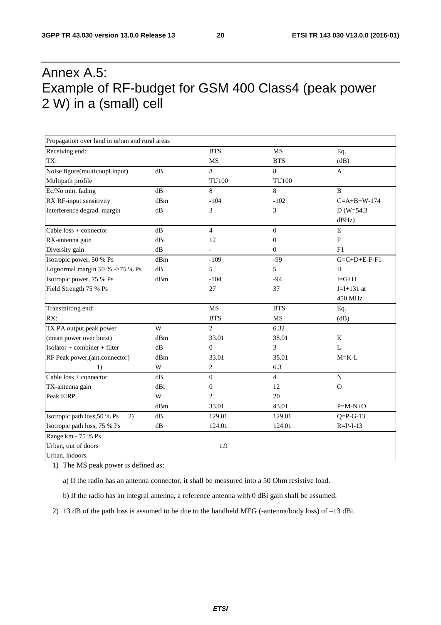## Annex A.5: Example of RF-budget for GSM 400 Class4 (peak power 2 W) in a (small) cell

| Propagation over land in urban and rural areas |               |                  |                  |                           |
|------------------------------------------------|---------------|------------------|------------------|---------------------------|
| Receiving end:                                 |               | <b>BTS</b>       | <b>MS</b>        | Eq.                       |
| TX:                                            |               | MS               | <b>BTS</b>       | (dB)                      |
| Noise figure(multicoupl.input)                 | dB            | $8\,$            | $\,8\,$          | $\mathbf{A}$              |
| Multipath profile                              |               | <b>TU100</b>     | <b>TU100</b>     |                           |
| Ec/No min. fading                              | dB            | 8                | $\,8\,$          | $\, {\bf B}$              |
| RX RF-input sensitivity                        | dBm           | $-104$           | $-102$           | $C=A+B+W-174$             |
| Interference degrad. margin                    | dB            | 3                | 3                | $D (W=54.3)$              |
|                                                |               |                  |                  | dBHz)                     |
| Cable $loss + connector$                       | $\mathrm{dB}$ | $\overline{4}$   | $\mathbf{0}$     | ${\bf E}$                 |
| RX-antenna gain                                | dBi           | 12               | $\boldsymbol{0}$ | $\boldsymbol{\mathrm{F}}$ |
| Diversity gain                                 | dB            | $\overline{a}$   | $\boldsymbol{0}$ | F1                        |
| Isotropic power, 50 % Ps                       | dBm           | $-109$           | $-99$            | $G = C + D + E - F - F1$  |
| Lognormal margin 50 % ->75 % Ps                | dB            | 5                | 5                | H                         |
| Isotropic power, 75 % Ps                       | dBm           | $-104$           | $-94$            | $I = G + H$               |
| Field Strength 75 % Ps                         |               | 27               | 37               | $J=I+131$ at              |
|                                                |               |                  |                  | 450 MHz                   |
| Transmitting end:                              |               | MS               | <b>BTS</b>       | Eq.                       |
| RX:                                            |               | <b>BTS</b>       | <b>MS</b>        | (dB)                      |
| TX PA output peak power                        | W             | $\overline{2}$   | 6.32             |                           |
| (mean power over burst)                        | dBm           | 33.01            | 38.01            | K                         |
| Isolator + combiner + filter                   | dB            | $\boldsymbol{0}$ | 3                | L                         |
| RF Peak power, (ant.connector)                 | dBm           | 33.01            | 35.01            | $M = K - L$               |
| 1)                                             | $\mathbf W$   | $\overline{c}$   | 6.3              |                           |
| Cable $loss + connector$                       | dB            | $\Omega$         | $\overline{4}$   | ${\bf N}$                 |
| TX-antenna gain                                | dBi           | $\overline{0}$   | 12               | $\Omega$                  |
| Peak EIRP                                      | W             | $\overline{c}$   | 20               |                           |
|                                                | dBm           | 33.01            | 43.01            | $P=M-N+O$                 |
| Isotropic path loss, 50 % Ps<br>2)             | $\mathrm{dB}$ | 129.01           | 129.01           | $Q = P - G - 13$          |
| Isotropic path loss, 75 % Ps                   | ${\rm dB}$    | 124.01           | 124.01           | $R = P - I - 13$          |
| Range km - 75 % Ps                             |               |                  |                  |                           |
| Urban, out of doors                            |               | 1.9              |                  |                           |
| Urban, indoors                                 |               |                  |                  |                           |

1) The MS peak power is defined as:

a) If the radio has an antenna connector, it shall be measured into a 50 Ohm resistive load.

b) If the radio has an integral antenna, a reference antenna with 0 dBi gain shall be assumed.

2) 13 dB of the path loss is assumed to be due to the handheld MEG (-antenna/body loss) of –13 dBi.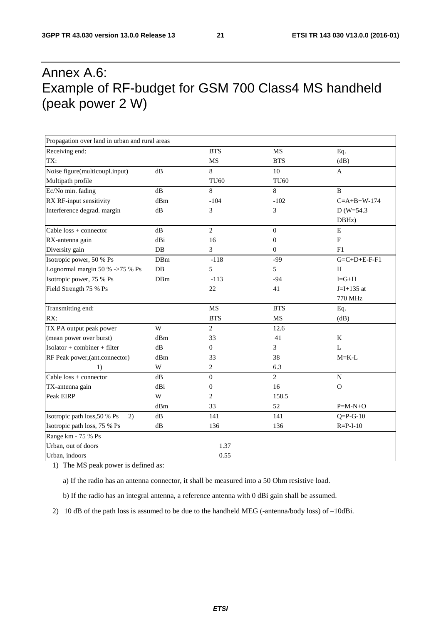## Annex A.6: Example of RF-budget for GSM 700 Class4 MS handheld (peak power 2 W)

| Propagation over land in urban and rural areas |               |                  |                  |                          |
|------------------------------------------------|---------------|------------------|------------------|--------------------------|
| Receiving end:                                 |               | <b>BTS</b>       | MS               | Eq.                      |
| TX:                                            |               | <b>MS</b>        | <b>BTS</b>       | (dB)                     |
| Noise figure(multicoupl.input)                 | dB            | 8                | 10               | $\mathbf{A}$             |
| Multipath profile                              |               | <b>TU60</b>      | <b>TU60</b>      |                          |
| Ec/No min. fading                              | dB            | 8                | $\,8\,$          | B                        |
| RX RF-input sensitivity                        | dBm           | $-104$           | $-102$           | $C = A + B + W - 174$    |
| Interference degrad. margin                    | $\mathrm{dB}$ | 3                | 3                | $D (W=54.3)$             |
|                                                |               |                  |                  | DBHz)                    |
| Cable loss + connector                         | $\mathrm{dB}$ | $\overline{2}$   | $\boldsymbol{0}$ | ${\bf E}$                |
| RX-antenna gain                                | dBi           | 16               | $\boldsymbol{0}$ | $\mathbf F$              |
| Diversity gain                                 | DB            | 3                | $\mathbf{0}$     | F1                       |
| Isotropic power, 50 % Ps                       | DBm           | $-118$           | $-99$            | $G = C + D + E - F - F1$ |
| Lognormal margin 50 % ->75 % Ps                | DB            | 5                | 5                | H                        |
| Isotropic power, 75 % Ps                       | DBm           | $-113$           | $-94$            | $I = G + H$              |
| Field Strength 75 % Ps                         |               | 22               | 41               | $J=I+135$ at             |
|                                                |               |                  |                  | 770 MHz                  |
| Transmitting end:                              |               | MS               | <b>BTS</b>       | Eq.                      |
| RX:                                            |               | <b>BTS</b>       | MS               | (dB)                     |
| TX PA output peak power                        | W             | $\overline{2}$   | 12.6             |                          |
| (mean power over burst)                        | dBm           | 33               | 41               | K                        |
| Isolator + combiner + filter                   | dB            | $\Omega$         | 3                | L                        |
| RF Peak power, (ant.connector)                 | dBm           | 33               | 38               | $M = K - L$              |
| 1)                                             | W             | $\sqrt{2}$       | 6.3              |                          |
| Cable $loss + connector$                       | dB            | $\boldsymbol{0}$ | $\overline{2}$   | ${\bf N}$                |
| TX-antenna gain                                | dBi           | $\boldsymbol{0}$ | 16               | $\mathbf O$              |
| Peak EIRP                                      | W             | $\overline{c}$   | 158.5            |                          |
|                                                | dBm           | 33               | 52               | $P=M-N+O$                |
| Isotropic path loss, 50 % Ps<br>2)             | dB            | 141              | 141              | $Q = P - G - 10$         |
| Isotropic path loss, 75 % Ps                   | $\mathrm{dB}$ | 136              | 136              | $R = P - I - 10$         |
| Range km - 75 % Ps                             |               |                  |                  |                          |
| Urban, out of doors                            |               | 1.37             |                  |                          |
| Urban, indoors                                 |               | 0.55             |                  |                          |

1) The MS peak power is defined as:

a) If the radio has an antenna connector, it shall be measured into a 50 Ohm resistive load.

b) If the radio has an integral antenna, a reference antenna with 0 dBi gain shall be assumed.

2) 10 dB of the path loss is assumed to be due to the handheld MEG (-antenna/body loss) of –10dBi.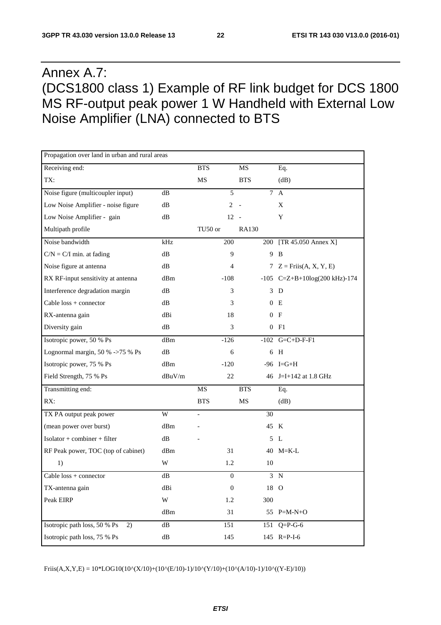## Annex A.7: (DCS1800 class 1) Example of RF link budget for DCS 1800 MS RF-output peak power 1 W Handheld with External Low Noise Amplifier (LNA) connected to BTS

| Propagation over land in urban and rural areas |               |                          |                  |            |                                                 |
|------------------------------------------------|---------------|--------------------------|------------------|------------|-------------------------------------------------|
| Receiving end:                                 |               | <b>BTS</b>               |                  | MS         | Eq.                                             |
| TX:                                            |               | MS                       |                  | <b>BTS</b> | (dB)                                            |
| Noise figure (multicoupler input)              | dB            |                          | 5                | $\tau$     | $\mathbf{A}$                                    |
| Low Noise Amplifier - noise figure             | dB            |                          | $\overline{c}$   |            | X                                               |
| Low Noise Amplifier - gain                     | dB            |                          | $12 -$           |            | Y                                               |
| Multipath profile                              |               | TU50 or                  |                  | RA130      |                                                 |
| Noise bandwidth                                | kHz           |                          | 200              | 200        | $[TR 45.050$ Annex X]                           |
| $C/N = C/I$ min. at fading                     | dB            |                          | 9                |            | 9 B                                             |
| Noise figure at antenna                        | dB            |                          | $\overline{4}$   |            | 7 $Z = Friis(A, X, Y, E)$                       |
| RX RF-input sensitivity at antenna             | dBm           |                          | $-108$           |            | -105 $C = Z + B + 10log(200 \text{ kHz}) - 174$ |
| Interference degradation margin                | dВ            |                          | 3                |            | 3 D                                             |
| Cable $loss + connector$                       | dB            |                          | 3                | 0          | E                                               |
| RX-antenna gain                                | dBi           |                          | 18               | 0          | - F                                             |
| Diversity gain                                 | dB            |                          | 3                |            | 0 F1                                            |
| Isotropic power, 50 % Ps                       | dBm           |                          | $-126$           |            | $-102$ G=C+D-F-F1                               |
| Lognormal margin, 50 % ->75 % Ps               | dВ            |                          | 6                |            | 6 H                                             |
| Isotropic power, 75 % Ps                       | dBm           |                          | $-120$           |            | $-96$ I=G+H                                     |
| Field Strength, 75 % Ps                        | $dBuV/m$      |                          | 22               |            | 46 J=I+142 at 1.8 GHz                           |
| Transmitting end:                              |               | MS                       |                  | <b>BTS</b> | Eq.                                             |
| RX:                                            |               | <b>BTS</b>               |                  | MS         | (dB)                                            |
| TX PA output peak power                        | W             | $\overline{\phantom{0}}$ |                  | 30         |                                                 |
| (mean power over burst)                        | dBm           |                          |                  |            | 45 K                                            |
| $Isolator + combiner + filter$                 | dB            |                          |                  | 5          | L                                               |
| RF Peak power, TOC (top of cabinet)            | dBm           |                          | 31               |            | 40 M=K-L                                        |
| 1)                                             | W             |                          | 1.2              | 10         |                                                 |
| Cable $loss + connector$                       | dB            |                          | $\boldsymbol{0}$ |            | 3 N                                             |
| TX-antenna gain                                | dBi           |                          | $\boldsymbol{0}$ |            | 18 O                                            |
| Peak EIRP                                      | W             |                          | 1.2              | 300        |                                                 |
|                                                | dBm           |                          | 31               |            | 55 $P=M-N+O$                                    |
| Isotropic path loss, 50 % Ps<br>2)             | $\mathrm{dB}$ |                          | 151              | 151        | $Q = P - G - 6$                                 |
| Isotropic path loss, 75 % Ps                   | dB            |                          | 145              |            | 145 R=P-I-6                                     |

 $Friis(A, X, Y, E) = 10 * LOG10(10^x(X/10) + (10^x(E/10)-1)/10^x(Y/10) + (10^x(A/10)-1)/10^x(Y-E)/10))$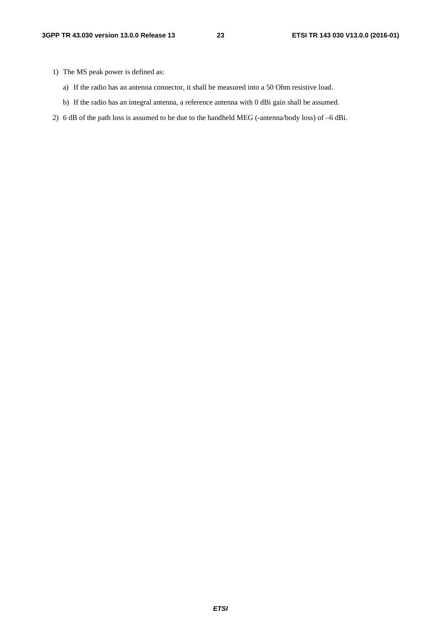- 1) The MS peak power is defined as:
	- a) If the radio has an antenna connector, it shall be measured into a 50 Ohm resistive load.
	- b) If the radio has an integral antenna, a reference antenna with 0 dBi gain shall be assumed.
- 2) 6 dB of the path loss is assumed to be due to the handheld MEG (-antenna/body loss) of –6 dBi.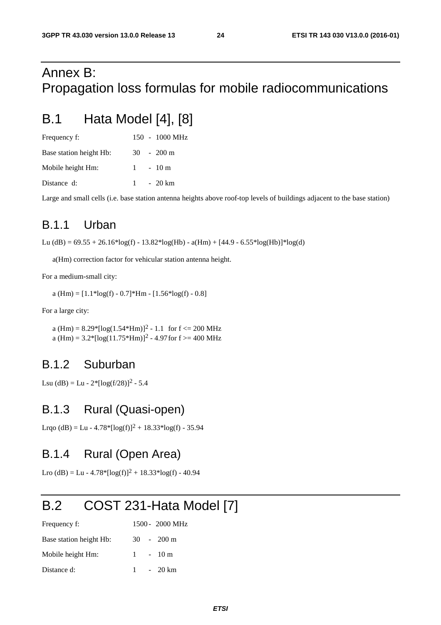## Annex B: Propagation loss formulas for mobile radiocommunications

## B.1 Hata Model [4], [8]

| Frequency f:            |  | $150 - 1000 \text{ MHz}$ |
|-------------------------|--|--------------------------|
| Base station height Hb: |  | $30 - 200$ m             |
| Mobile height Hm:       |  | $1 - 10m$                |
| Distance d:             |  | $1 - 20 \text{ km}$      |

Large and small cells (i.e. base station antenna heights above roof-top levels of buildings adjacent to the base station)

### B.1.1 Urban

Lu (dB) =  $69.55 + 26.16*log(f) - 13.82*log(Hb) - a(Hm) + [44.9 - 6.55*log(Hb)]*log(d)$ 

a(Hm) correction factor for vehicular station antenna height.

For a medium-small city:

a (Hm) =  $[1.1*log(f) - 0.7]*Hm - [1.56*log(f) - 0.8]$ 

For a large city:

a (Hm) =  $8.29$ <sup>\*</sup>[log(1.54<sup>\*</sup>Hm)]<sup>2</sup> - 1.1 for f <= 200 MHz a (Hm) =  $3.2$ \*[log(11.75\*Hm)]<sup>2</sup> - 4.97 for f >= 400 MHz

### B.1.2 Suburban

Lsu (dB) = Lu -  $2*[log(f/28)]^2$  - 5.4

#### B.1.3 Rural (Quasi-open)

Lrqo (dB) = Lu - 4.78\*[ $log(f)^2$  + 18.33\* $log(f)$  - 35.94

#### B.1.4 Rural (Open Area)

Lro (dB) = Lu - 4.78\*[ $log(f)$ ]<sup>2</sup> + 18.33\* $log(f)$  - 40.94

## B.2 COST 231-Hata Model [7]

| Frequency f:            |  | 1500 - 2000 MHz      |
|-------------------------|--|----------------------|
| Base station height Hb: |  | $30 - 200 \text{ m}$ |
| Mobile height Hm:       |  | $1 - 10m$            |
| Distance d:             |  | $1 - 20 \text{ km}$  |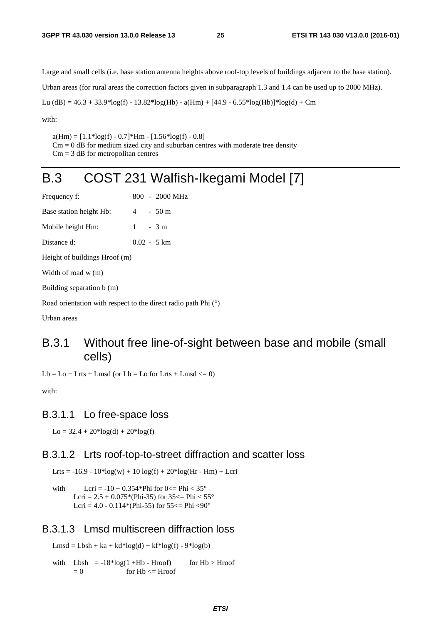Large and small cells (i.e. base station antenna heights above roof-top levels of buildings adjacent to the base station). Urban areas (for rural areas the correction factors given in subparagraph 1.3 and 1.4 can be used up to 2000 MHz).

Lu (dB) =  $46.3 + 33.9*log(f) - 13.82*log(Hb) - a(Hm) + [44.9 - 6.55*log(Hb)]*log(d) + Cm$ 

with:

 $a(Hm) = [1.1*log(f) - 0.7]*Hm - [1.56*log(f) - 0.8]$ 

 $Cm = 0$  dB for medium sized city and suburban centres with moderate tree density  $Cm = 3$  dB for metropolitan centres

## B.3 COST 231 Walfish-Ikegami Model [7]

| Frequency f:                  |  |  | 800 - 2000 MHz        |  |  |
|-------------------------------|--|--|-----------------------|--|--|
| Base station height Hb:       |  |  | $4 - 50 \text{ m}$    |  |  |
| Mobile height Hm:             |  |  | $1 - 3m$              |  |  |
| Distance d:                   |  |  | $0.02 - 5 \text{ km}$ |  |  |
| Height of buildings Hroof (m) |  |  |                       |  |  |
| Width of road $w(m)$          |  |  |                       |  |  |
| Building separation b (m)     |  |  |                       |  |  |
|                               |  |  |                       |  |  |

Road orientation with respect to the direct radio path Phi (°)

Urban areas

#### B.3.1 Without free line-of-sight between base and mobile (small cells)

 $Lb = Lo + Lrts + Lmsd$  (or  $Lb = Lo$  for Lrts + Lmsd  $\leq 0$ )

with:

#### B.3.1.1 Lo free-space loss

 $Lo = 32.4 + 20*log(d) + 20*log(f)$ 

#### B.3.1.2 Lrts roof-top-to-street diffraction and scatter loss

Lrts = -16.9 -  $10*log(w) + 10 log(f) + 20*log(Hr - Hm) + Lcri$ 

with  $Lcri = -10 + 0.354*Phi$  for  $0 \leq Phi < 35^{\circ}$ Lcri =  $2.5 + 0.075$ \*(Phi-35) for 35 <= Phi <  $55^{\circ}$ Lcri =  $4.0 - 0.114$ <sup>\*</sup>(Phi-55) for  $55 \le$  Phi  $\langle 90^\circ$ 

#### B.3.1.3 Lmsd multiscreen diffraction loss

 $Lmsd = Lbsh + ka + kd * log(d) + kf * log(f) - 9 * log(b)$ 

with  $Lbsh = -18*log(1 + Hb - Hroof)$  for  $Hb > Hroof$  $= 0$  for Hb  $\leq$  Hroof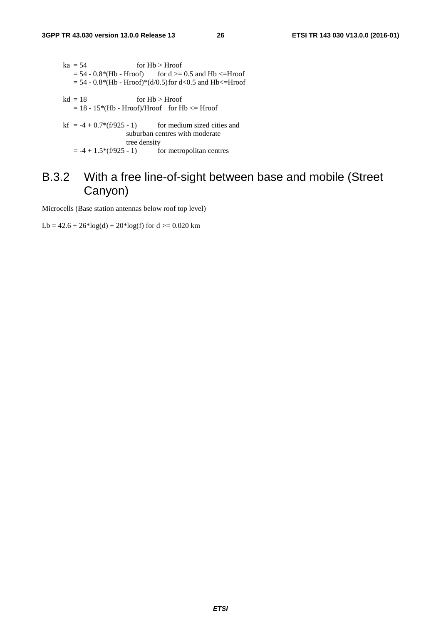- $ka = 54$  for  $Hb > Hroot$  $= 54 - 0.8*(Hb - Hroot)$  for d  $>= 0.5$  and Hb  $\leq$  Hroof  $= 54 - 0.8*(Hb - Hroof)*(d/0.5)$  for d<0.5 and Hb<=Hroof
- $kd = 18$  for  $Hb > Hroot$  $= 18 - 15*(Hb - Hroof)/Hroof$  for  $Hb \leq Hroof$
- kf =  $-4 + 0.7*(f/925 1)$  for medium sized cities and suburban centres with moderate tree density<br>=  $-4 + 1.5*(f/925 - 1)$  for for metropolitan centres

### B.3.2 With a free line-of-sight between base and mobile (Street Canyon)

Microcells (Base station antennas below roof top level)

Lb =  $42.6 + 26*log(d) + 20*log(f)$  for  $d \ge 0.020$  km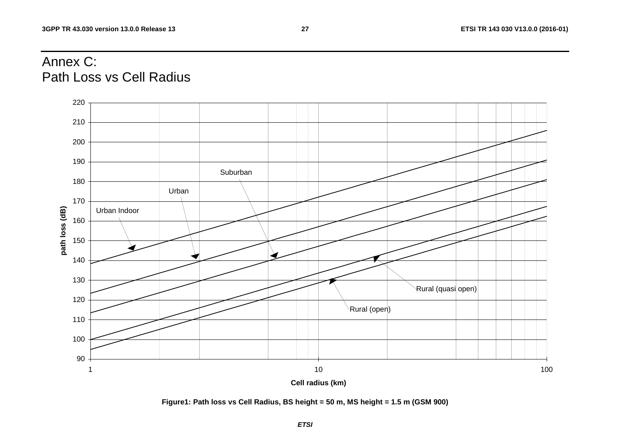## Annex C: Path Loss vs Cell Radius



**Figure1: Path loss vs Cell Radius, BS height = 50 m, MS height = 1.5 m (GSM 900)**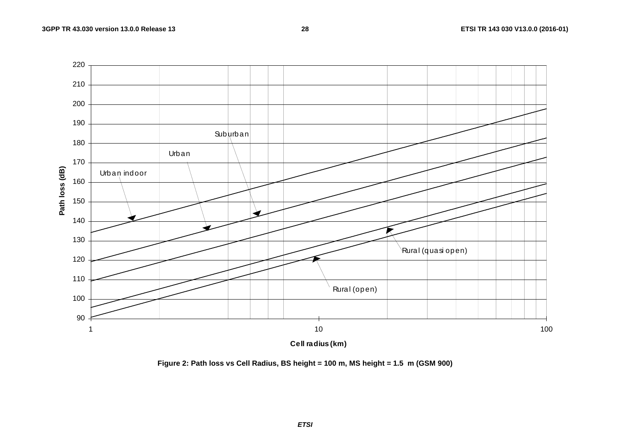

**Figure 2: Path loss vs Cell Radius, BS height = 100 m, MS height = 1.5 m (GSM 900)**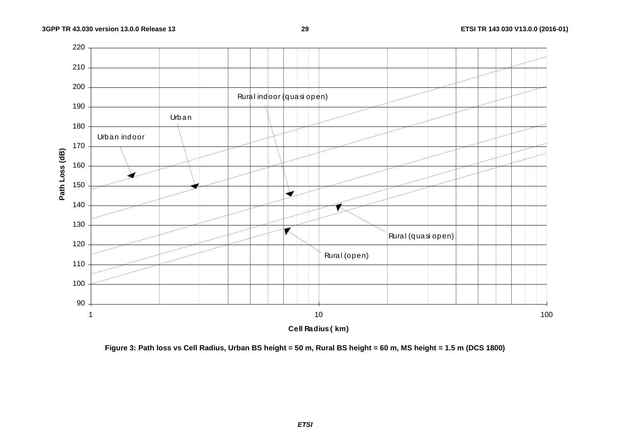

**Figure 3: Path loss vs Cell Radius, Urban BS height = 50 m, Rural BS height = 60 m, MS height = 1.5 m (DCS 1800)** 

*ETSI*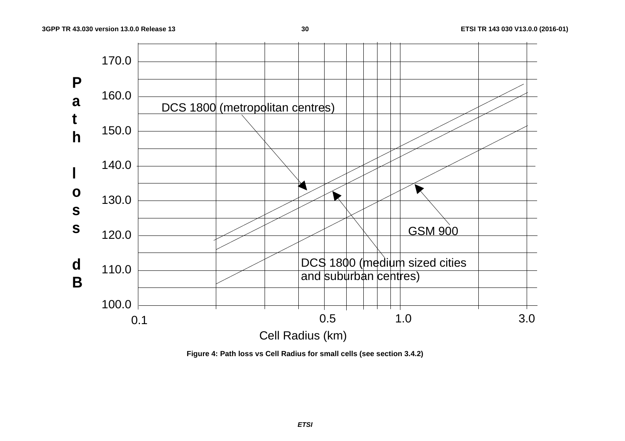

**Figure 4: Path loss vs Cell Radius for small cells (see section 3.4.2)**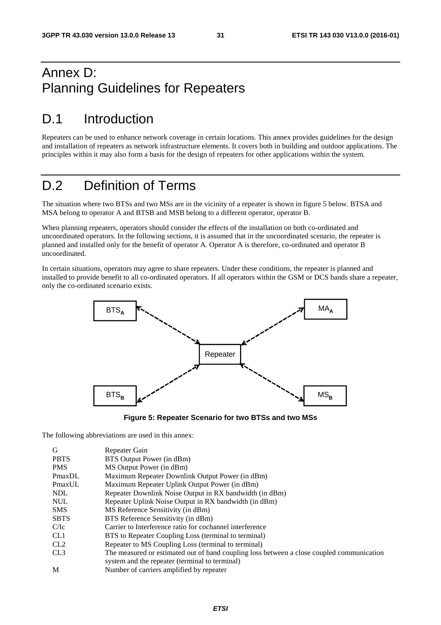### Annex D: Planning Guidelines for Repeaters

## D.1 Introduction

Repeaters can be used to enhance network coverage in certain locations. This annex provides guidelines for the design and installation of repeaters as network infrastructure elements. It covers both in building and outdoor applications. The principles within it may also form a basis for the design of repeaters for other applications within the system.

## D.2 Definition of Terms

The situation where two BTSs and two MSs are in the vicinity of a repeater is shown in figure 5 below. BTSA and MSA belong to operator A and BTSB and MSB belong to a different operator, operator B.

When planning repeaters, operators should consider the effects of the installation on both co-ordinated and uncoordinated operators. In the following sections, it is assumed that in the uncoordinated scenario, the repeater is planned and installed only for the benefit of operator A. Operator A is therefore, co-ordinated and operator B uncoordinated.

In certain situations, operators may agree to share repeaters. Under these conditions, the repeater is planned and installed to provide benefit to all co-ordinated operators. If all operators within the GSM or DCS bands share a repeater, only the co-ordinated scenario exists.



**Figure 5: Repeater Scenario for two BTSs and two MSs** 

The following abbreviations are used in this annex:

| G               | Repeater Gain                                                                             |
|-----------------|-------------------------------------------------------------------------------------------|
| <b>PBTS</b>     | BTS Output Power (in dBm)                                                                 |
| <b>PMS</b>      | MS Output Power (in dBm)                                                                  |
| PmaxDL          | Maximum Repeater Downlink Output Power (in dBm)                                           |
| PmaxUL          | Maximum Repeater Uplink Output Power (in dBm)                                             |
| <b>NDL</b>      | Repeater Downlink Noise Output in RX bandwidth (in dBm)                                   |
| <b>NUL</b>      | Repeater Uplink Noise Output in RX bandwidth (in dBm)                                     |
| <b>SMS</b>      | MS Reference Sensitivity (in dBm)                                                         |
| <b>SBTS</b>     | BTS Reference Sensitivity (in dBm)                                                        |
| C/Ic            | Carrier to Interference ratio for cochannel interference                                  |
| CL <sub>1</sub> | BTS to Repeater Coupling Loss (terminal to terminal)                                      |
| CL <sub>2</sub> | Repeater to MS Coupling Loss (terminal to terminal)                                       |
| CL <sub>3</sub> | The measured or estimated out of band coupling loss between a close coupled communication |
|                 | system and the repeater (terminal to terminal)                                            |
| M               | Number of carriers amplified by repeater                                                  |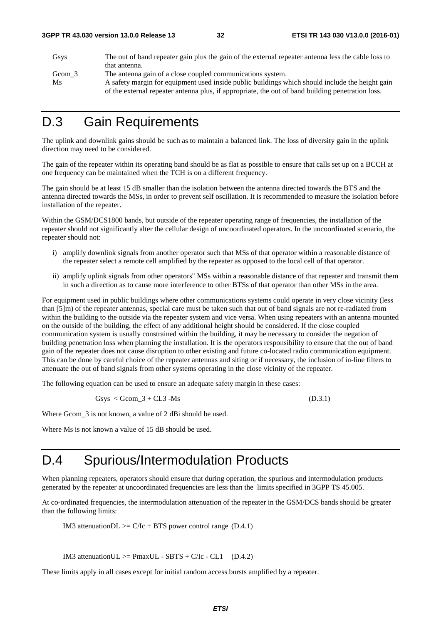| Gsys   | The out of band repeater gain plus the gain of the external repeater antenna less the cable loss to |
|--------|-----------------------------------------------------------------------------------------------------|
|        | that antenna.                                                                                       |
| Gcom 3 | The antenna gain of a close coupled communications system.                                          |
| Ms     | A safety margin for equipment used inside public buildings which should include the height gain     |
|        | of the external repeater antenna plus, if appropriate, the out of band building penetration loss.   |

### D.3 Gain Requirements

The uplink and downlink gains should be such as to maintain a balanced link. The loss of diversity gain in the uplink direction may need to be considered.

The gain of the repeater within its operating band should be as flat as possible to ensure that calls set up on a BCCH at one frequency can be maintained when the TCH is on a different frequency.

The gain should be at least 15 dB smaller than the isolation between the antenna directed towards the BTS and the antenna directed towards the MSs, in order to prevent self oscillation. It is recommended to measure the isolation before installation of the repeater.

Within the GSM/DCS1800 bands, but outside of the repeater operating range of frequencies, the installation of the repeater should not significantly alter the cellular design of uncoordinated operators. In the uncoordinated scenario, the repeater should not:

- i) amplify downlink signals from another operator such that MSs of that operator within a reasonable distance of the repeater select a remote cell amplified by the repeater as opposed to the local cell of that operator.
- ii) amplify uplink signals from other operators" MSs within a reasonable distance of that repeater and transmit them in such a direction as to cause more interference to other BTSs of that operator than other MSs in the area.

For equipment used in public buildings where other communications systems could operate in very close vicinity (less than [5]m) of the repeater antennas, special care must be taken such that out of band signals are not re-radiated from within the building to the outside via the repeater system and vice versa. When using repeaters with an antenna mounted on the outside of the building, the effect of any additional height should be considered. If the close coupled communication system is usually constrained within the building, it may be necessary to consider the negation of building penetration loss when planning the installation. It is the operators responsibility to ensure that the out of band gain of the repeater does not cause disruption to other existing and future co-located radio communication equipment. This can be done by careful choice of the repeater antennas and siting or if necessary, the inclusion of in-line filters to attenuate the out of band signals from other systems operating in the close vicinity of the repeater.

The following equation can be used to ensure an adequate safety margin in these cases:

 $Gsys < Gcom_3 + CL3 - Ms$  (D.3.1)

Where Gcom\_3 is not known, a value of 2 dBi should be used.

Where Ms is not known a value of 15 dB should be used.

### D.4 Spurious/Intermodulation Products

When planning repeaters, operators should ensure that during operation, the spurious and intermodulation products generated by the repeater at uncoordinated frequencies are less than the limits specified in 3GPP TS 45.005.

At co-ordinated frequencies, the intermodulation attenuation of the repeater in the GSM/DCS bands should be greater than the following limits:

IM3 attenuationDL  $>= C/Ic + BTS$  power control range (D.4.1)

IM3 attenuationUL  $>=$  PmaxUL - SBTS + C/Ic - CL1 (D.4.2)

These limits apply in all cases except for initial random access bursts amplified by a repeater.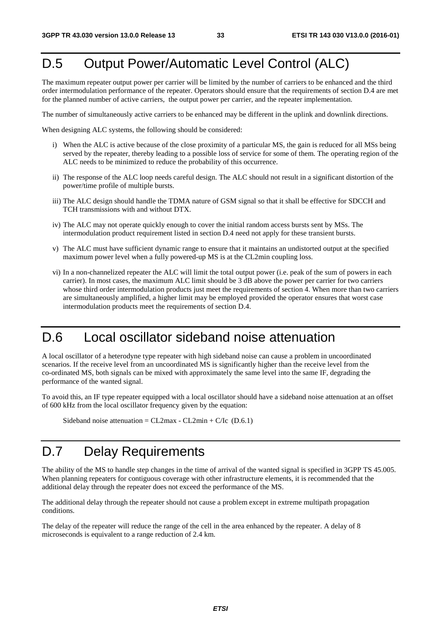## D.5 Output Power/Automatic Level Control (ALC)

The maximum repeater output power per carrier will be limited by the number of carriers to be enhanced and the third order intermodulation performance of the repeater. Operators should ensure that the requirements of section D.4 are met for the planned number of active carriers, the output power per carrier, and the repeater implementation.

The number of simultaneously active carriers to be enhanced may be different in the uplink and downlink directions.

When designing ALC systems, the following should be considered:

- i) When the ALC is active because of the close proximity of a particular MS, the gain is reduced for all MSs being served by the repeater, thereby leading to a possible loss of service for some of them. The operating region of the ALC needs to be minimized to reduce the probability of this occurrence.
- ii) The response of the ALC loop needs careful design. The ALC should not result in a significant distortion of the power/time profile of multiple bursts.
- iii) The ALC design should handle the TDMA nature of GSM signal so that it shall be effective for SDCCH and TCH transmissions with and without DTX.
- iv) The ALC may not operate quickly enough to cover the initial random access bursts sent by MSs. The intermodulation product requirement listed in section D.4 need not apply for these transient bursts.
- v) The ALC must have sufficient dynamic range to ensure that it maintains an undistorted output at the specified maximum power level when a fully powered-up MS is at the CL2min coupling loss.
- vi) In a non-channelized repeater the ALC will limit the total output power (i.e. peak of the sum of powers in each carrier). In most cases, the maximum ALC limit should be 3 dB above the power per carrier for two carriers whose third order intermodulation products just meet the requirements of section 4. When more than two carriers are simultaneously amplified, a higher limit may be employed provided the operator ensures that worst case intermodulation products meet the requirements of section D.4.

## D.6 Local oscillator sideband noise attenuation

A local oscillator of a heterodyne type repeater with high sideband noise can cause a problem in uncoordinated scenarios. If the receive level from an uncoordinated MS is significantly higher than the receive level from the co-ordinated MS, both signals can be mixed with approximately the same level into the same IF, degrading the performance of the wanted signal.

To avoid this, an IF type repeater equipped with a local oscillator should have a sideband noise attenuation at an offset of 600 kHz from the local oscillator frequency given by the equation:

Sideband noise attenuation =  $CL2max - CL2min + C/Ic$  (D.6.1)

## D.7 Delay Requirements

The ability of the MS to handle step changes in the time of arrival of the wanted signal is specified in 3GPP TS 45.005. When planning repeaters for contiguous coverage with other infrastructure elements, it is recommended that the additional delay through the repeater does not exceed the performance of the MS.

The additional delay through the repeater should not cause a problem except in extreme multipath propagation conditions.

The delay of the repeater will reduce the range of the cell in the area enhanced by the repeater. A delay of 8 microseconds is equivalent to a range reduction of 2.4 km.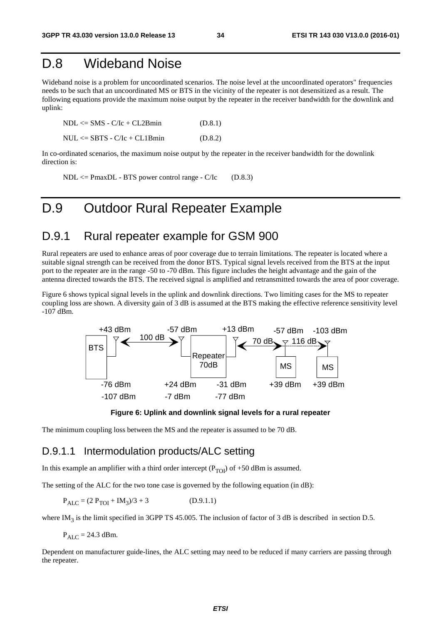### D.8 Wideband Noise

Wideband noise is a problem for uncoordinated scenarios. The noise level at the uncoordinated operators" frequencies needs to be such that an uncoordinated MS or BTS in the vicinity of the repeater is not desensitized as a result. The following equations provide the maximum noise output by the repeater in the receiver bandwidth for the downlink and uplink:

| $NDL \leq$ SMS - $C/Ic + CL2Bmin$  | (D.8.1) |
|------------------------------------|---------|
| $NUL \leq$ SBTS - $C/Ic + CL1Bmin$ | (D.8.2) |

In co-ordinated scenarios, the maximum noise output by the repeater in the receiver bandwidth for the downlink direction is:

 $NDL \leq PmaxDL - BTS$  power control range -  $C/IC$  (D.8.3)

### D.9 Outdoor Rural Repeater Example

#### D.9.1 Rural repeater example for GSM 900

Rural repeaters are used to enhance areas of poor coverage due to terrain limitations. The repeater is located where a suitable signal strength can be received from the donor BTS. Typical signal levels received from the BTS at the input port to the repeater are in the range -50 to -70 dBm. This figure includes the height advantage and the gain of the antenna directed towards the BTS. The received signal is amplified and retransmitted towards the area of poor coverage.

Figure 6 shows typical signal levels in the uplink and downlink directions. Two limiting cases for the MS to repeater coupling loss are shown. A diversity gain of 3 dB is assumed at the BTS making the effective reference sensitivity level -107 dBm.



**Figure 6: Uplink and downlink signal levels for a rural repeater** 

The minimum coupling loss between the MS and the repeater is assumed to be 70 dB.

#### D.9.1.1 Intermodulation products/ALC setting

In this example an amplifier with a third order intercept ( $P_{TOI}$ ) of +50 dBm is assumed.

The setting of the ALC for the two tone case is governed by the following equation (in dB):

 $P_{ALC} = (2 P_{TOI} + IM_3)/3 + 3$  (D.9.1.1)

where IM<sub>3</sub> is the limit specified in 3GPP TS 45.005. The inclusion of factor of 3 dB is described in section D.5.

 $P_{\text{AI C}} = 24.3 \text{ dBm}.$ 

Dependent on manufacturer guide-lines, the ALC setting may need to be reduced if many carriers are passing through the repeater.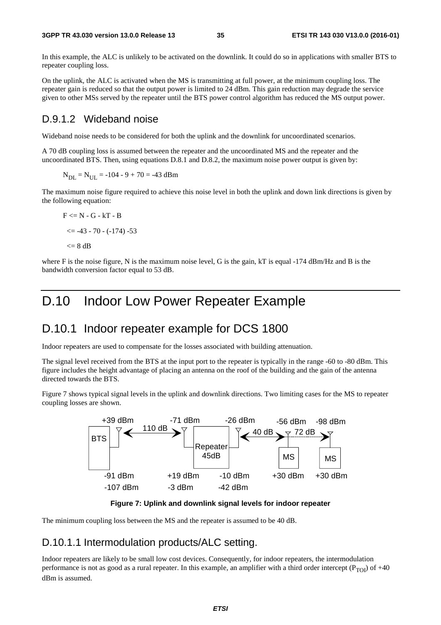In this example, the ALC is unlikely to be activated on the downlink. It could do so in applications with smaller BTS to repeater coupling loss.

On the uplink, the ALC is activated when the MS is transmitting at full power, at the minimum coupling loss. The repeater gain is reduced so that the output power is limited to 24 dBm. This gain reduction may degrade the service given to other MSs served by the repeater until the BTS power control algorithm has reduced the MS output power.

#### D.9.1.2 Wideband noise

Wideband noise needs to be considered for both the uplink and the downlink for uncoordinated scenarios.

A 70 dB coupling loss is assumed between the repeater and the uncoordinated MS and the repeater and the uncoordinated BTS. Then, using equations D.8.1 and D.8.2, the maximum noise power output is given by:

 $N_{\text{DL}} = N_{\text{UL}} = -104 - 9 + 70 = -43$  dBm

The maximum noise figure required to achieve this noise level in both the uplink and down link directions is given by the following equation:

```
F \le N - G - kT - B\leq -43 - 70 - (-174) -53
<= 8 dB
```
where F is the noise figure, N is the maximum noise level, G is the gain, kT is equal  $-174$  dBm/Hz and B is the bandwidth conversion factor equal to 53 dB.

### D.10 Indoor Low Power Repeater Example

#### D.10.1 Indoor repeater example for DCS 1800

Indoor repeaters are used to compensate for the losses associated with building attenuation.

The signal level received from the BTS at the input port to the repeater is typically in the range -60 to -80 dBm. This figure includes the height advantage of placing an antenna on the roof of the building and the gain of the antenna directed towards the BTS.

Figure 7 shows typical signal levels in the uplink and downlink directions. Two limiting cases for the MS to repeater coupling losses are shown.



**Figure 7: Uplink and downlink signal levels for indoor repeater** 

The minimum coupling loss between the MS and the repeater is assumed to be 40 dB.

#### D.10.1.1 Intermodulation products/ALC setting.

Indoor repeaters are likely to be small low cost devices. Consequently, for indoor repeaters, the intermodulation performance is not as good as a rural repeater. In this example, an amplifier with a third order intercept ( $P_{TOI}$ ) of +40 dBm is assumed.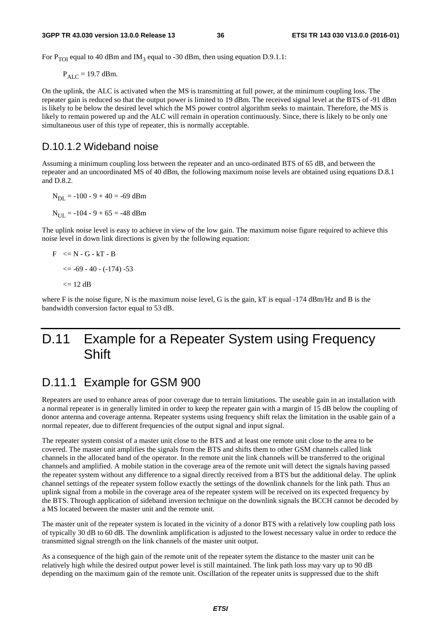For P<sub>TOI</sub> equal to 40 dBm and IM<sub>3</sub> equal to -30 dBm, then using equation D.9.1.1:

 $P_{AIC}$  = 19.7 dBm.

On the uplink, the ALC is activated when the MS is transmitting at full power, at the minimum coupling loss. The repeater gain is reduced so that the output power is limited to 19 dBm. The received signal level at the BTS of -91 dBm is likely to be below the desired level which the MS power control algorithm seeks to maintain. Therefore, the MS is likely to remain powered up and the ALC will remain in operation continuously. Since, there is likely to be only one simultaneous user of this type of repeater, this is normally acceptable.

#### D.10.1.2 Wideband noise

Assuming a minimum coupling loss between the repeater and an unco-ordinated BTS of 65 dB, and between the repeater and an uncoordinated MS of 40 dBm, the following maximum noise levels are obtained using equations D.8.1 and D.8.2.

 $N_{DI} = -100 - 9 + 40 = -69$  dBm  $N_{\text{UL}} = -104 - 9 + 65 = -48$  dBm

The uplink noise level is easy to achieve in view of the low gain. The maximum noise figure required to achieve this noise level in down link directions is given by the following equation:

$$
F < = N - G - kT - B
$$
  

$$
< = -69 - 40 - (-174) - 53
$$
  

$$
< = 12 dB
$$

where F is the noise figure, N is the maximum noise level, G is the gain,  $kT$  is equal  $-174$  dBm/Hz and B is the bandwidth conversion factor equal to 53 dB.

### D.11 Example for a Repeater System using Frequency **Shift**

#### D.11.1 Example for GSM 900

Repeaters are used to enhance areas of poor coverage due to terrain limitations. The useable gain in an installation with a normal repeater is in generally limited in order to keep the repeater gain with a margin of 15 dB below the coupling of donor antenna and coverage antenna. Repeater systems using frequency shift relax the limitation in the usable gain of a normal repeater, due to different frequencies of the output signal and input signal.

The repeater system consist of a master unit close to the BTS and at least one remote unit close to the area to be covered. The master unit amplifies the signals from the BTS and shifts them to other GSM channels called link channels in the allocated band of the operator. In the remote unit the link channels will be transferred to the original channels and amplified. A mobile station in the coverage area of the remote unit will detect the signals having passed the repeater system without any difference to a signal directly received from a BTS but the additional delay. The uplink channel settings of the repeater system follow exactly the settings of the downlink channels for the link path. Thus an uplink signal from a mobile in the coverage area of the repeater system will be received on its expected frequency by the BTS. Through application of sideband inversion technique on the downlink signals the BCCH cannot be decoded by a MS located between the master unit and the remote unit.

The master unit of the repeater system is located in the vicinity of a donor BTS with a relatively low coupling path loss of typically 30 dB to 60 dB. The downlink amplification is adjusted to the lowest necessary value in order to reduce the transmitted signal strength on the link channels of the master unit output.

As a consequence of the high gain of the remote unit of the repeater sytem the distance to the master unit can be relatively high while the desired output power level is still maintained. The link path loss may vary up to 90 dB depending on the maximum gain of the remote unit. Oscillation of the repeater units is suppressed due to the shift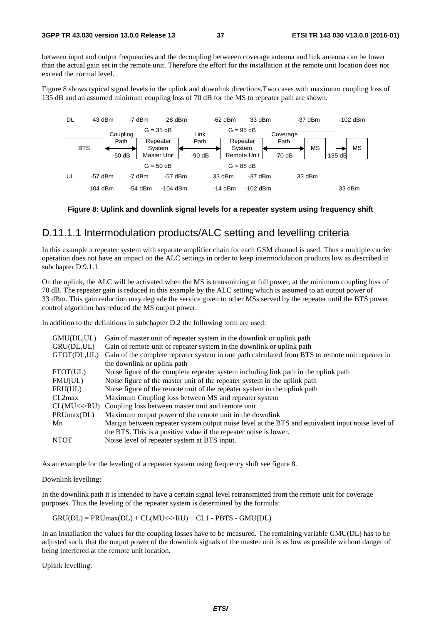between input and output frequencies and the decoupling betweeen coverage antenna and link antenna can be lower than the actual gain set in the remote unit. Therefore the effort for the installation at the remote unit location does not exceed the normal level.

Figure 8 shows typical signal levels in the uplink and downlink directions.Two cases with maximum coupling loss of 135 dB and an assumed minimum coupling loss of 70 dB for the MS to repeater path are shown.



#### **Figure 8: Uplink and downlink signal levels for a repeater system using frequency shift**

#### D.11.1.1 Intermodulation products/ALC setting and levelling criteria

In this example a repeater system with separate amplifier chain for each GSM channel is used. Thus a multiple carrier operation does not have an impact on the ALC settings in order to keep intermodulation products low as described in subchapter D.9.1.1.

On the uplink, the ALC will be activated when the MS is transmitting at full power, at the minimum coupling loss of 70 dB. The repeater gain is reduced in this example by the ALC setting which is assumed to an output power of 33 dBm. This gain reduction may degrade the service given to other MSs served by the repeater until the BTS power control algorithm has reduced the MS output power.

In addition to the definitions in subchapter D.2 the following term are used:

| GMU(DL,UL)             | Gain of master unit of repeater system in the downlink or uplink path                            |
|------------------------|--------------------------------------------------------------------------------------------------|
| GRU(DL,UL)             | Gain of remote unit of repeater system in the downlink or uplink path                            |
| GTOT(DL,UL)            | Gain of the complete repeater system in one path calculated from BTS to remote unit repeater in  |
|                        | the downlink or uplink path                                                                      |
| FTOT(UL)               | Noise figure of the complete repeater system including link path in the uplink path              |
| FMU(UL)                | Noise figure of the master unit of the repeater system in the uplink path                        |
| FRU(UL)                | Noise figure of the remote unit of the repeater system in the uplink path                        |
| CL2max                 | Maximum Coupling loss between MS and repeater system                                             |
| $CL(MU\leftarrow >RU)$ | Coupling loss between master unit and remote unit                                                |
| PRUmax(DL)             | Maximum output power of the remote unit in the downlink                                          |
| Mn                     | Margin between repeater system output noise level at the BTS and equivalent input noise level of |
|                        | the BTS. This is a positive value if the repeater noise is lower.                                |
| <b>NTOT</b>            | Noise level of repeater system at BTS input.                                                     |
|                        |                                                                                                  |

As an example for the leveling of a repeater system using frequency shift see figure 8.

#### Downlink levelling:

In the downlink path it is intended to have a certain signal level retransmitted from the remote unit for coverage purposes. Thus the leveling of the repeater system is determined by the formula:

 $GRU(DL) = PRUmax(DL) + CL(MU\leftarrow > RU) + CL1 - PBTS - GMU(DL)$ 

In an installation the values for the coupling losses have to be measured. The remaining variable GMU(DL) has to be adjusted such, that the output power of the downlink signals of the master unit is as low as possible without danger of being interfered at the remote unit location.

Uplink levelling: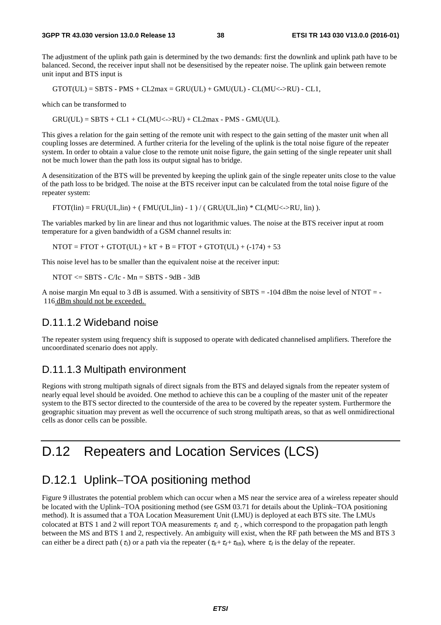The adjustment of the uplink path gain is determined by the two demands: first the downlink and uplink path have to be balanced. Second, the receiver input shall not be desensitised by the repeater noise. The uplink gain between remote unit input and BTS input is

 $GTOT(UL) = SBTS - PMS + CL2max = GRU(UL) + GMU(UL) - CL(MU\leq >RU) - CL1$ ,

which can be transformed to

 $GRU(UL) = SBTS + CL1 + CL(MU\leftarrow > RU) + CL2max - PMS - GMU(UL).$ 

This gives a relation for the gain setting of the remote unit with respect to the gain setting of the master unit when all coupling losses are determined. A further criteria for the leveling of the uplink is the total noise figure of the repeater system. In order to obtain a value close to the remote unit noise figure, the gain setting of the single repeater unit shall not be much lower than the path loss its output signal has to bridge.

A desensitization of the BTS will be prevented by keeping the uplink gain of the single repeater units close to the value of the path loss to be bridged. The noise at the BTS receiver input can be calculated from the total noise figure of the repeater system:

 $FTOT(lin) = FRU(UL,lin) + (FMU(UL,lin) - 1) / (GRU(UL,lin) * CL(MU < ->RU, lin)).$ 

The variables marked by lin are linear and thus not logarithmic values. The noise at the BTS receiver input at room temperature for a given bandwidth of a GSM channel results in:

 $NTOT = FTOT + GTOT(UL) + kT + B = FTOT + GTOT(UL) + (-174) + 53$ 

This noise level has to be smaller than the equivalent noise at the receiver input:

 $NTOT \leq SBTS - C/IC - Mn = SBTS - 9dB - 3dB$ 

A noise margin Mn equal to 3 dB is assumed. With a sensitivity of SBTS = -104 dBm the noise level of NTOT = - 116 dBm should not be exceeded.

#### D.11.1.2 Wideband noise

The repeater system using frequency shift is supposed to operate with dedicated channelised amplifiers. Therefore the uncoordinated scenario does not apply.

#### D.11.1.3 Multipath environment

Regions with strong multipath signals of direct signals from the BTS and delayed signals from the repeater system of nearly equal level should be avoided. One method to achieve this can be a coupling of the master unit of the repeater system to the BTS sector directed to the counterside of the area to be covered by the repeater system. Furthermore the geographic situation may prevent as well the occurrence of such strong multipath areas, so that as well onmidirectional cells as donor cells can be possible.

### D.12 Repeaters and Location Services (LCS)

### D.12.1 Uplink–TOA positioning method

Figure 9 illustrates the potential problem which can occur when a MS near the service area of a wireless repeater should be located with the Uplink−TOA positioning method (see GSM 03.71 for details about the Uplink−TOA positioning method). It is assumed that a TOA Location Measurement Unit (LMU) is deployed at each BTS site. The LMUs colocated at BTS 1 and 2 will report TOA measurements  $\tau_1$  and  $\tau_2$ , which correspond to the propagation path length between the MS and BTS 1 and 2, respectively. An ambiguity will exist, when the RF path between the MS and BTS 3 can either be a direct path ( $\tau_3$ ) or a path via the repeater ( $\tau_R + \tau_d + \tau_{RB}$ ), where  $\tau_d$  is the delay of the repeater.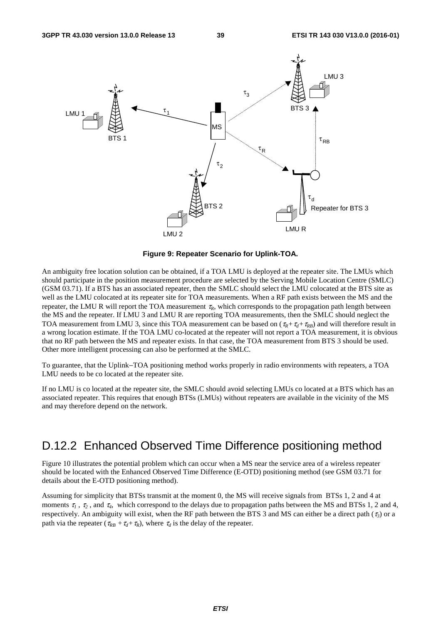

**Figure 9: Repeater Scenario for Uplink-TOA.** 

An ambiguity free location solution can be obtained, if a TOA LMU is deployed at the repeater site. The LMUs which should participate in the position measurement procedure are selected by the Serving Mobile Location Centre (SMLC) (GSM 03.71). If a BTS has an associated repeater, then the SMLC should select the LMU colocated at the BTS site as well as the LMU colocated at its repeater site for TOA measurements. When a RF path exists between the MS and the repeater, the LMU R will report the TOA measurement  $\tau_R$ , which corresponds to the propagation path length between the MS and the repeater. If LMU 3 and LMU R are reporting TOA measurements, then the SMLC should neglect the TOA measurement from LMU 3, since this TOA measurement can be based on  $(\tau_R + \tau_d + \tau_{RB})$  and will therefore result in a wrong location estimate. If the TOA LMU co-located at the repeater will not report a TOA measurement, it is obvious that no RF path between the MS and repeater exists. In that case, the TOA measurement from BTS 3 should be used. Other more intelligent processing can also be performed at the SMLC.

To guarantee, that the Uplink−TOA positioning method works properly in radio environments with repeaters, a TOA LMU needs to be co located at the repeater site.

If no LMU is co located at the repeater site, the SMLC should avoid selecting LMUs co located at a BTS which has an associated repeater. This requires that enough BTSs (LMUs) without repeaters are available in the vicinity of the MS and may therefore depend on the network.

### D.12.2 Enhanced Observed Time Difference positioning method

Figure 10 illustrates the potential problem which can occur when a MS near the service area of a wireless repeater should be located with the Enhanced Observed Time Difference (E-OTD) positioning method (see GSM 03.71 for details about the E-OTD positioning method).

Assuming for simplicity that BTSs transmit at the moment 0, the MS will receive signals from BTSs 1, 2 and 4 at moments  $\tau_1$ ,  $\tau_2$ , and  $\tau_4$ , which correspond to the delays due to propagation paths between the MS and BTSs 1, 2 and 4, respectively. An ambiguity will exist, when the RF path between the BTS 3 and MS can either be a direct path (<sup>τ</sup>*3*) or a path via the repeater ( $\tau_{RB} + \tau_d + \tau_R$ ), where  $\tau_d$  is the delay of the repeater.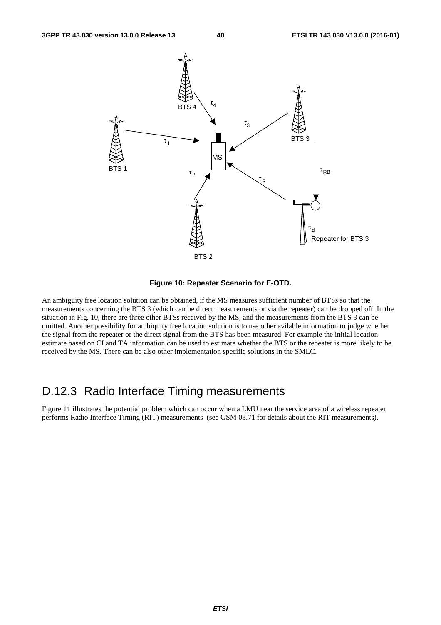

#### **Figure 10: Repeater Scenario for E-OTD.**

An ambiguity free location solution can be obtained, if the MS measures sufficient number of BTSs so that the measurements concerning the BTS 3 (which can be direct measurements or via the repeater) can be dropped off. In the situation in Fig. 10, there are three other BTSs received by the MS, and the measurements from the BTS 3 can be omitted. Another possibility for ambiquity free location solution is to use other avilable information to judge whether the signal from the repeater or the direct signal from the BTS has been measured. For example the initial location estimate based on CI and TA information can be used to estimate whether the BTS or the repeater is more likely to be received by the MS. There can be also other implementation specific solutions in the SMLC.

#### D.12.3 Radio Interface Timing measurements

Figure 11 illustrates the potential problem which can occur when a LMU near the service area of a wireless repeater performs Radio Interface Timing (RIT) measurements (see GSM 03.71 for details about the RIT measurements).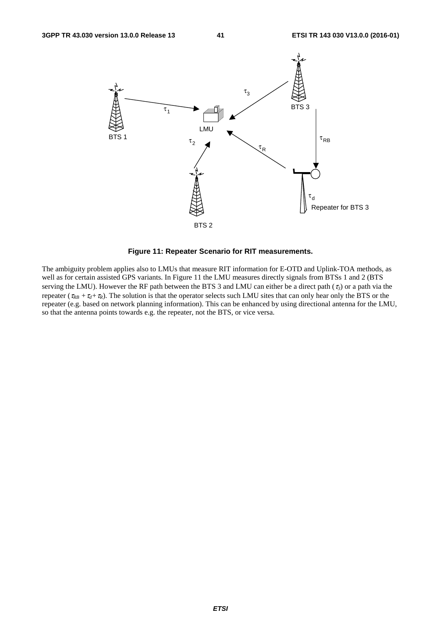

**Figure 11: Repeater Scenario for RIT measurements.** 

The ambiguity problem applies also to LMUs that measure RIT information for E-OTD and Uplink-TOA methods, as well as for certain assisted GPS variants. In Figure 11 the LMU measures directly signals from BTSs 1 and 2 (BTS serving the LMU). However the RF path between the BTS 3 and LMU can either be a direct path (<sup>τ</sup>*3*) or a path via the repeater ( $\tau_{RB} + \tau_d + \tau_R$ ). The solution is that the operator selects such LMU sites that can only hear only the BTS or the repeater (e.g. based on network planning information). This can be enhanced by using directional antenna for the LMU, so that the antenna points towards e.g. the repeater, not the BTS, or vice versa.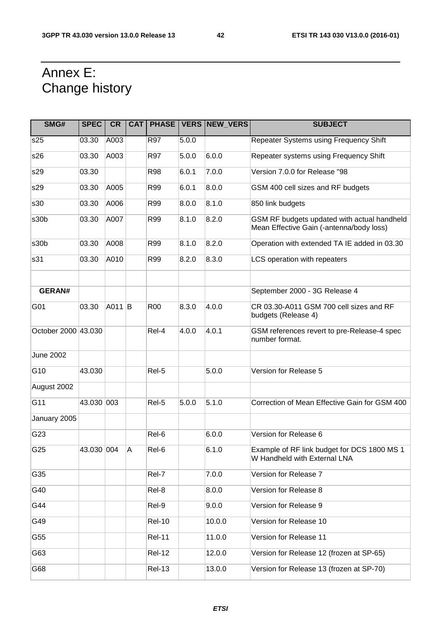## Annex E: Change history

| SMG#                | <b>SPEC</b> | <b>CR</b> |                |               |       | <b>CAT   PHASE   VERS   NEW_VERS</b> | <b>SUBJECT</b>                                                                          |
|---------------------|-------------|-----------|----------------|---------------|-------|--------------------------------------|-----------------------------------------------------------------------------------------|
| s25                 | 03.30       | A003      |                | R97           | 5.0.0 |                                      | Repeater Systems using Frequency Shift                                                  |
| s26                 | 03.30       | A003      |                | R97           | 5.0.0 | 6.0.0                                | Repeater systems using Frequency Shift                                                  |
| s29                 | 03.30       |           |                | <b>R98</b>    | 6.0.1 | 7.0.0                                | Version 7.0.0 for Release "98                                                           |
| s29                 | 03.30       | A005      |                | R99           | 6.0.1 | 8.0.0                                | GSM 400 cell sizes and RF budgets                                                       |
| s30                 | 03.30       | A006      |                | R99           | 8.0.0 | 8.1.0                                | 850 link budgets                                                                        |
| s30b                | 03.30       | A007      |                | R99           | 8.1.0 | 8.2.0                                | GSM RF budgets updated with actual handheld<br>Mean Effective Gain (-antenna/body loss) |
| s30b                | 03.30       | A008      |                | R99           | 8.1.0 | 8.2.0                                | Operation with extended TA IE added in 03.30                                            |
| s31                 | 03.30       | A010      |                | R99           | 8.2.0 | 8.3.0                                | LCS operation with repeaters                                                            |
|                     |             |           |                |               |       |                                      |                                                                                         |
| <b>GERAN#</b>       |             |           |                |               |       |                                      | September 2000 - 3G Release 4                                                           |
| G01                 | 03.30       | A011 B    |                | <b>R00</b>    | 8.3.0 | 4.0.0                                | CR 03.30-A011 GSM 700 cell sizes and RF<br>budgets (Release 4)                          |
| October 2000 43.030 |             |           |                | Rel-4         | 4.0.0 | 4.0.1                                | GSM references revert to pre-Release-4 spec<br>number format.                           |
| <b>June 2002</b>    |             |           |                |               |       |                                      |                                                                                         |
| G10                 | 43.030      |           |                | Rel-5         |       | 5.0.0                                | Version for Release 5                                                                   |
| August 2002         |             |           |                |               |       |                                      |                                                                                         |
| G11                 | 43.030 003  |           |                | Rel-5         | 5.0.0 | 5.1.0                                | Correction of Mean Effective Gain for GSM 400                                           |
| January 2005        |             |           |                |               |       |                                      |                                                                                         |
| G23                 |             |           |                | Rel-6         |       | 6.0.0                                | Version for Release 6                                                                   |
| G25                 | 43.030 004  |           | $\overline{A}$ | Rel-6         |       | 6.1.0                                | Example of RF link budget for DCS 1800 MS 1<br>W Handheld with External LNA             |
| G35                 |             |           |                | Rel-7         |       | 7.0.0                                | Version for Release 7                                                                   |
| G40                 |             |           |                | Rel-8         |       | 8.0.0                                | Version for Release 8                                                                   |
| G44                 |             |           |                | Rel-9         |       | 9.0.0                                | Version for Release 9                                                                   |
| G49                 |             |           |                | <b>Rel-10</b> |       | 10.0.0                               | Version for Release 10                                                                  |
| G55                 |             |           |                | <b>Rel-11</b> |       | 11.0.0                               | Version for Release 11                                                                  |
| G63                 |             |           |                | <b>Rel-12</b> |       | 12.0.0                               | Version for Release 12 (frozen at SP-65)                                                |
| G68                 |             |           |                | <b>Rel-13</b> |       | 13.0.0                               | Version for Release 13 (frozen at SP-70)                                                |